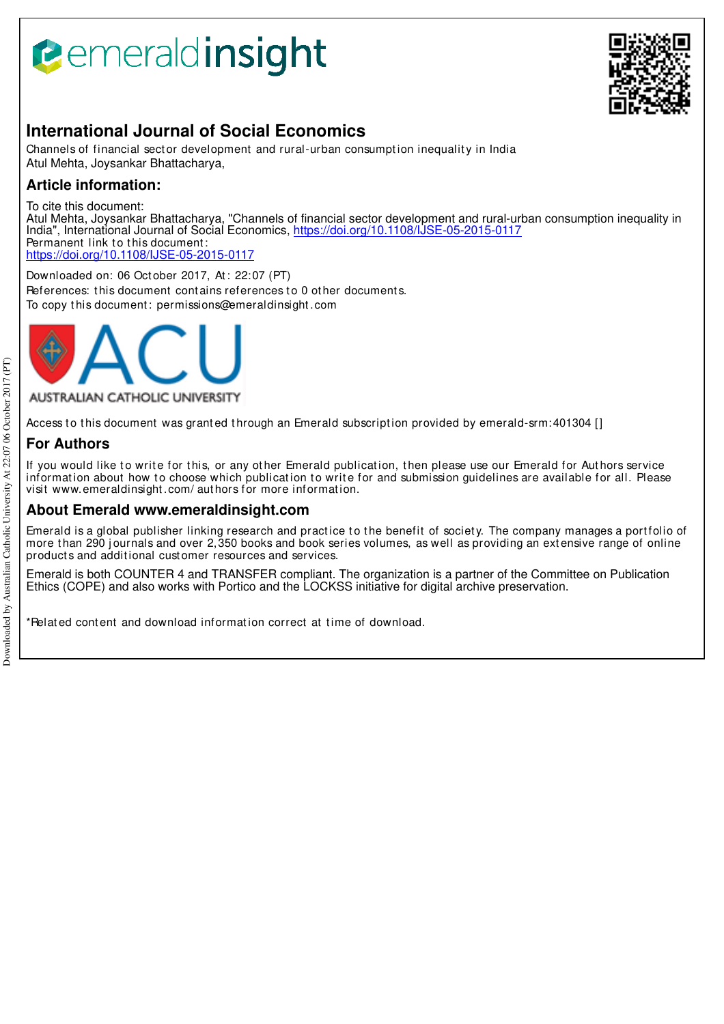# **B**emeraldinsight



## **International Journal of Social Economics**

Channels of financial sector development and rural-urban consumption inequality in India Atul Mehta, Joysankar Bhattacharya,

## **Article information:**

To cite this document:

Atul Mehta, Joysankar Bhattacharya, "Channels of financial sector development and rural-urban consumption inequality in India", International Journal of Social Economics, https://doi.org/10.1108/IJSE-05-2015-0117 Permanent link to this document: https://doi.org/10.1108/IJSE-05-2015-0117

Downloaded on: 06 Oct ober 2017, At : 22:07 (PT) References: this document contains references to 0 other documents. To copy t his document : permissions@emeraldinsight .com



Access to this document was granted through an Emerald subscription provided by emerald-srm: 401304 []

## **For Authors**

If you would like to write for this, or any other Emerald publication, then please use our Emerald for Authors service information about how to choose which publication to write for and submission guidelines are available for all. Please visit www.emeraldinsight.com/ authors for more information.

## **About Emerald www.emeraldinsight.com**

Emerald is a global publisher linking research and practice to the benefit of society. The company manages a portfolio of more than 290 journals and over 2,350 books and book series volumes, as well as providing an extensive range of online product s and addit ional cust omer resources and services.

Emerald is both COUNTER 4 and TRANSFER compliant. The organization is a partner of the Committee on Publication Ethics (COPE) and also works with Portico and the LOCKSS initiative for digital archive preservation.

\*Relat ed cont ent and download informat ion correct at t ime of download.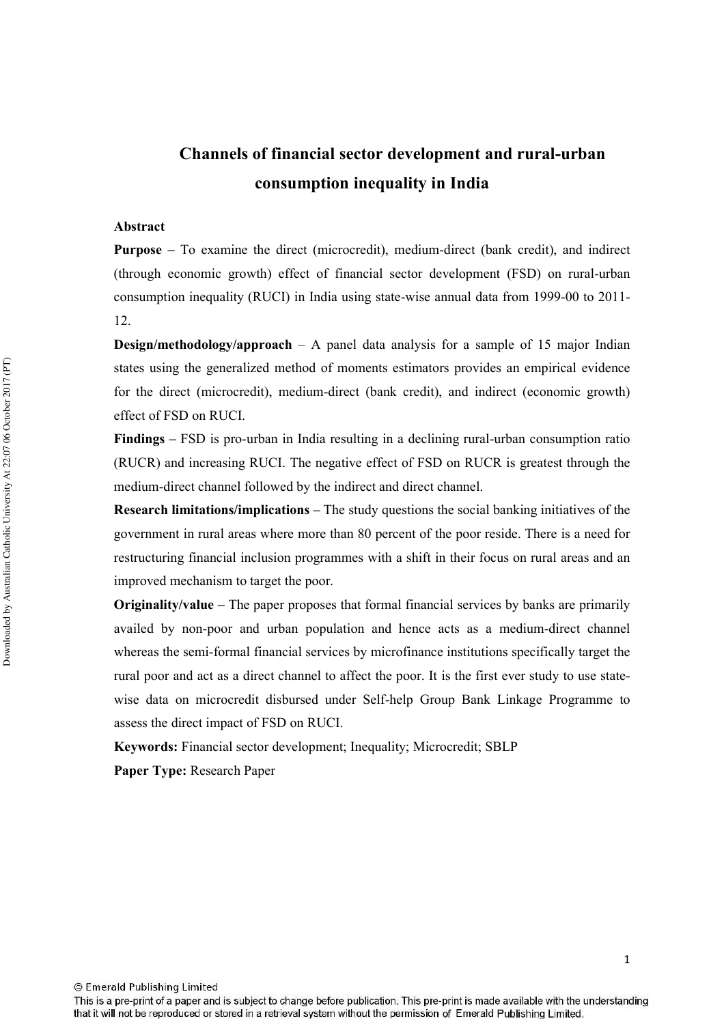# Channels of financial sector development and rural-urban consumption inequality in India

#### Abstract

**Purpose** – To examine the direct (microcredit), medium-direct (bank credit), and indirect (through economic growth) effect of financial sector development (FSD) on rural-urban consumption inequality (RUCI) in India using state-wise annual data from 1999-00 to 2011-12.

**Design/methodology/approach** – A panel data analysis for a sample of 15 major Indian states using the generalized method of moments estimators provides an empirical evidence for the direct (microcredit), medium-direct (bank credit), and indirect (economic growth) effect of FSD on RUCI.

Findings – FSD is pro-urban in India resulting in a declining rural-urban consumption ratio (RUCR) and increasing RUCI. The negative effect of FSD on RUCR is greatest through the medium-direct channel followed by the indirect and direct channel.

**Research limitations/implications** – The study questions the social banking initiatives of the government in rural areas where more than 80 percent of the poor reside. There is a need for restructuring financial inclusion programmes with a shift in their focus on rural areas and an improved mechanism to target the poor.

Originality/value – The paper proposes that formal financial services by banks are primarily availed by non-poor and urban population and hence acts as a medium-direct channel whereas the semi-formal financial services by microfinance institutions specifically target the rural poor and act as a direct channel to affect the poor. It is the first ever study to use statewise data on microcredit disbursed under Self-help Group Bank Linkage Programme to assess the direct impact of FSD on RUCI.

Keywords: Financial sector development; Inequality; Microcredit; SBLP

Paper Type: Research Paper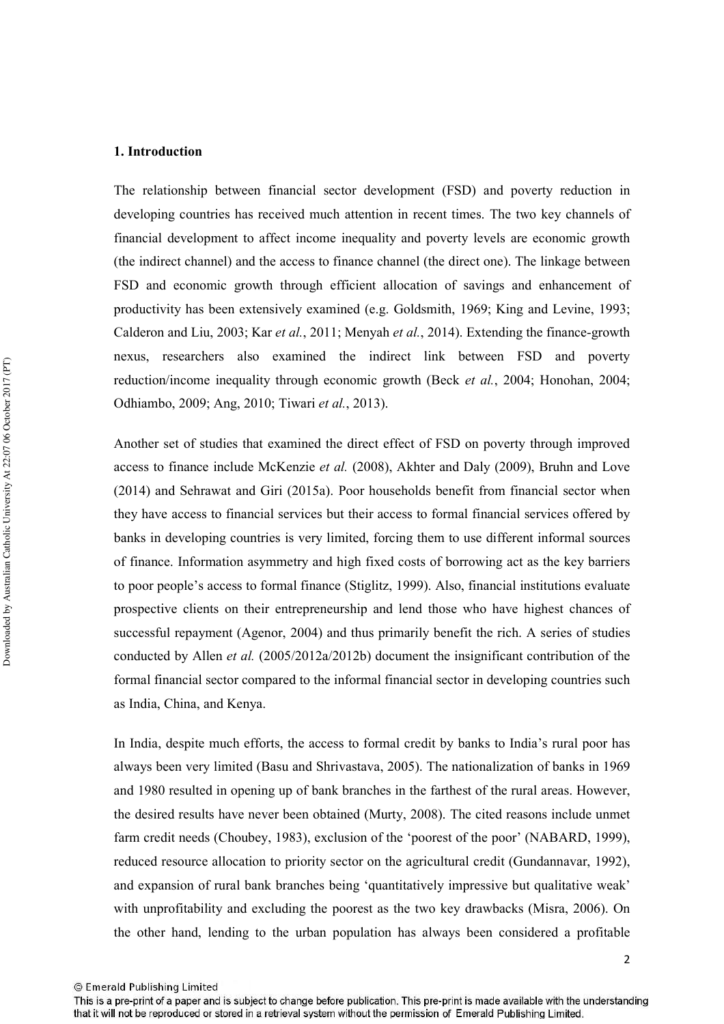#### 1. Introduction

The relationship between financial sector development (FSD) and poverty reduction in developing countries has received much attention in recent times. The two key channels of financial development to affect income inequality and poverty levels are economic growth (the indirect channel) and the access to finance channel (the direct one). The linkage between FSD and economic growth through efficient allocation of savings and enhancement of productivity has been extensively examined (e.g. Goldsmith, 1969; King and Levine, 1993; Calderon and Liu, 2003; Kar et al., 2011; Menyah et al., 2014). Extending the finance-growth nexus, researchers also examined the indirect link between FSD and poverty reduction/income inequality through economic growth (Beck *et al.*, 2004; Honohan, 2004; Odhiambo, 2009; Ang, 2010; Tiwari et al., 2013).

Another set of studies that examined the direct effect of FSD on poverty through improved access to finance include McKenzie et al. (2008), Akhter and Daly (2009), Bruhn and Love (2014) and Sehrawat and Giri (2015a). Poor households benefit from financial sector when they have access to financial services but their access to formal financial services offered by banks in developing countries is very limited, forcing them to use different informal sources of finance. Information asymmetry and high fixed costs of borrowing act as the key barriers to poor people's access to formal finance (Stiglitz, 1999). Also, financial institutions evaluate prospective clients on their entrepreneurship and lend those who have highest chances of successful repayment (Agenor, 2004) and thus primarily benefit the rich. A series of studies conducted by Allen *et al.*  $(2005/2012a/2012b)$  document the insignificant contribution of the formal financial sector compared to the informal financial sector in developing countries such as India, China, and Kenya.

In India, despite much efforts, the access to formal credit by banks to India's rural poor has always been very limited (Basu and Shrivastava, 2005). The nationalization of banks in 1969 and 1980 resulted in opening up of bank branches in the farthest of the rural areas. However, the desired results have never been obtained (Murty, 2008). The cited reasons include unmet farm credit needs (Choubey, 1983), exclusion of the 'poorest of the poor' (NABARD, 1999), reduced resource allocation to priority sector on the agricultural credit (Gundannavar, 1992), and expansion of rural bank branches being 'quantitatively impressive but qualitative weak' with unprofitability and excluding the poorest as the two key drawbacks (Misra, 2006). On the other hand, lending to the urban population has always been considered a profitable

<sup>©</sup> Emerald Publishing Limited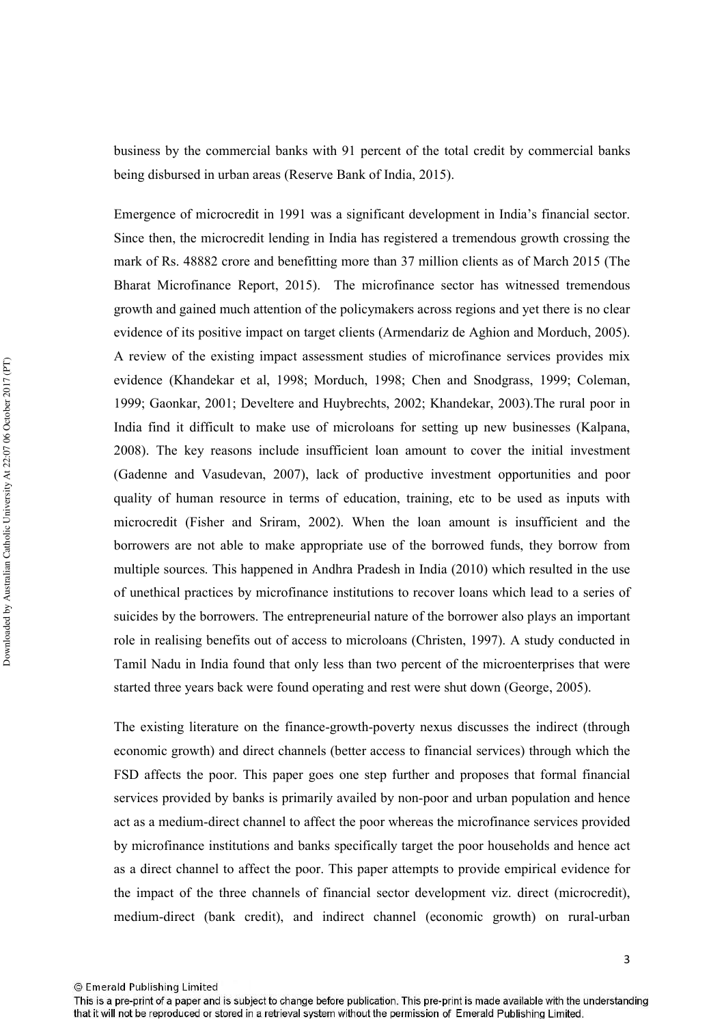business by the commercial banks with 91 percent of the total credit by commercial banks being disbursed in urban areas (Reserve Bank of India, 2015).

Emergence of microcredit in 1991 was a significant development in India's financial sector. Since then, the microcredit lending in India has registered a tremendous growth crossing the mark of Rs. 48882 crore and benefitting more than 37 million clients as of March 2015 (The Bharat Microfinance Report, 2015). The microfinance sector has witnessed tremendous growth and gained much attention of the policymakers across regions and yet there is no clear evidence of its positive impact on target clients (Armendariz de Aghion and Morduch, 2005). A review of the existing impact assessment studies of microfinance services provides mix evidence (Khandekar et al, 1998; Morduch, 1998; Chen and Snodgrass, 1999; Coleman, 1999; Gaonkar, 2001; Develtere and Huybrechts, 2002; Khandekar, 2003). The rural poor in India find it difficult to make use of microloans for setting up new businesses (Kalpana, 2008). The key reasons include insufficient loan amount to cover the initial investment (Gadenne and Vasudevan, 2007), lack of productive investment opportunities and poor quality of human resource in terms of education, training, etc to be used as inputs with microcredit (Fisher and Sriram, 2002). When the loan amount is insufficient and the borrowers are not able to make appropriate use of the borrowed funds, they borrow from multiple sources. This happened in Andhra Pradesh in India (2010) which resulted in the use of unethical practices by microfinance institutions to recover loans which lead to a series of suicides by the borrowers. The entrepreneurial nature of the borrower also plays an important role in realising benefits out of access to microloans (Christen, 1997). A study conducted in Tamil Nadu in India found that only less than two percent of the microenterprises that were started three years back were found operating and rest were shut down (George, 2005).

The existing literature on the finance-growth-poverty nexus discusses the indirect (through economic growth) and direct channels (better access to financial services) through which the FSD affects the poor. This paper goes one step further and proposes that formal financial services provided by banks is primarily availed by non-poor and urban population and hence act as a medium-direct channel to affect the poor whereas the microfinance services provided by microfinance institutions and banks specifically target the poor households and hence act as a direct channel to affect the poor. This paper attempts to provide empirical evidence for the impact of the three channels of financial sector development viz. direct (microcredit), medium-direct (bank credit), and indirect channel (economic growth) on rural-urban

This is a pre-print of a paper and is subject to change before publication. This pre-print is made available with the understanding that it will not be reproduced or stored in a retrieval system without the permission of Emerald Publishing Limited.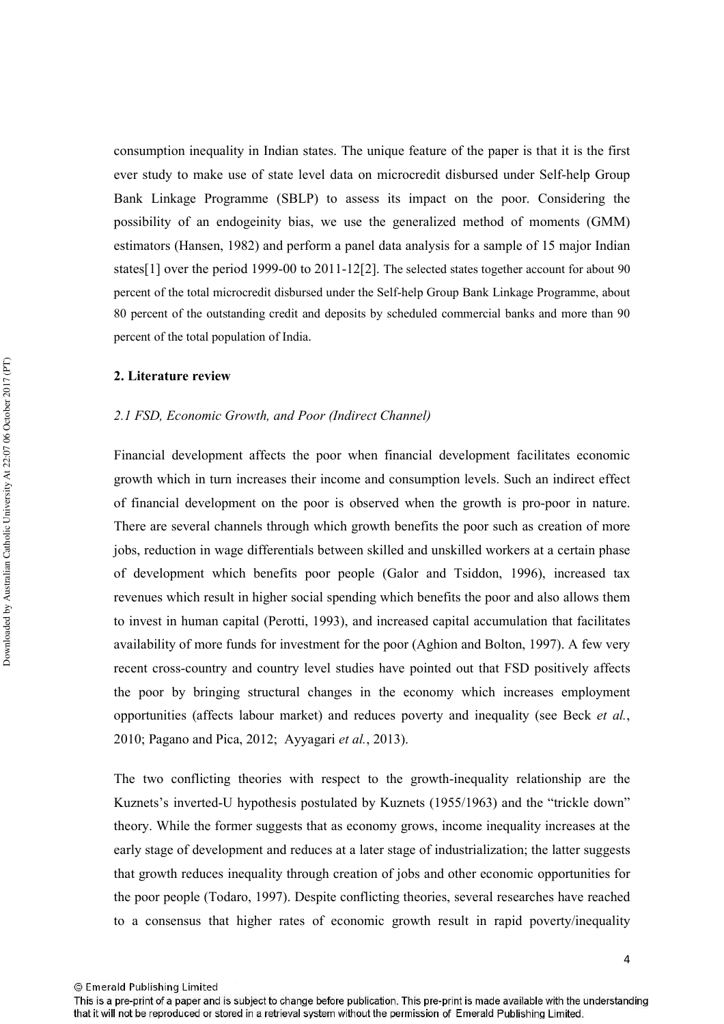consumption inequality in Indian states. The unique feature of the paper is that it is the first ever study to make use of state level data on microcredit disbursed under Self-help Group Bank Linkage Programme (SBLP) to assess its impact on the poor. Considering the possibility of an endogeinity bias, we use the generalized method of moments (GMM) estimators (Hansen, 1982) and perform a panel data analysis for a sample of 15 major Indian states [1] over the period 1999-00 to 2011-12<sup>[2]</sup>. The selected states together account for about 90 percent of the total microcredit disbursed under the Self-help Group Bank Linkage Programme, about 80 percent of the outstanding credit and deposits by scheduled commercial banks and more than 90 percent of the total population of India.

#### 2. Literature review

#### 2.1 FSD, Economic Growth, and Poor (Indirect Channel)

Financial development affects the poor when financial development facilitates economic growth which in turn increases their income and consumption levels. Such an indirect effect of financial development on the poor is observed when the growth is pro-poor in nature. There are several channels through which growth benefits the poor such as creation of more jobs, reduction in wage differentials between skilled and unskilled workers at a certain phase of development which benefits poor people (Galor and Tsiddon, 1996), increased tax revenues which result in higher social spending which benefits the poor and also allows them to invest in human capital (Perotti, 1993), and increased capital accumulation that facilitates availability of more funds for investment for the poor (Aghion and Bolton, 1997). A few very recent cross-country and country level studies have pointed out that FSD positively affects the poor by bringing structural changes in the economy which increases employment opportunities (affects labour market) and reduces poverty and inequality (see Beck et al., 2010; Pagano and Pica, 2012; Ayyagari et al., 2013).

The two conflicting theories with respect to the growth-inequality relationship are the Kuznets's inverted-U hypothesis postulated by Kuznets (1955/1963) and the "trickle down" theory. While the former suggests that as economy grows, income inequality increases at the early stage of development and reduces at a later stage of industrialization; the latter suggests that growth reduces inequality through creation of jobs and other economic opportunities for the poor people (Todaro, 1997). Despite conflicting theories, several researches have reached to a consensus that higher rates of economic growth result in rapid poverty/inequality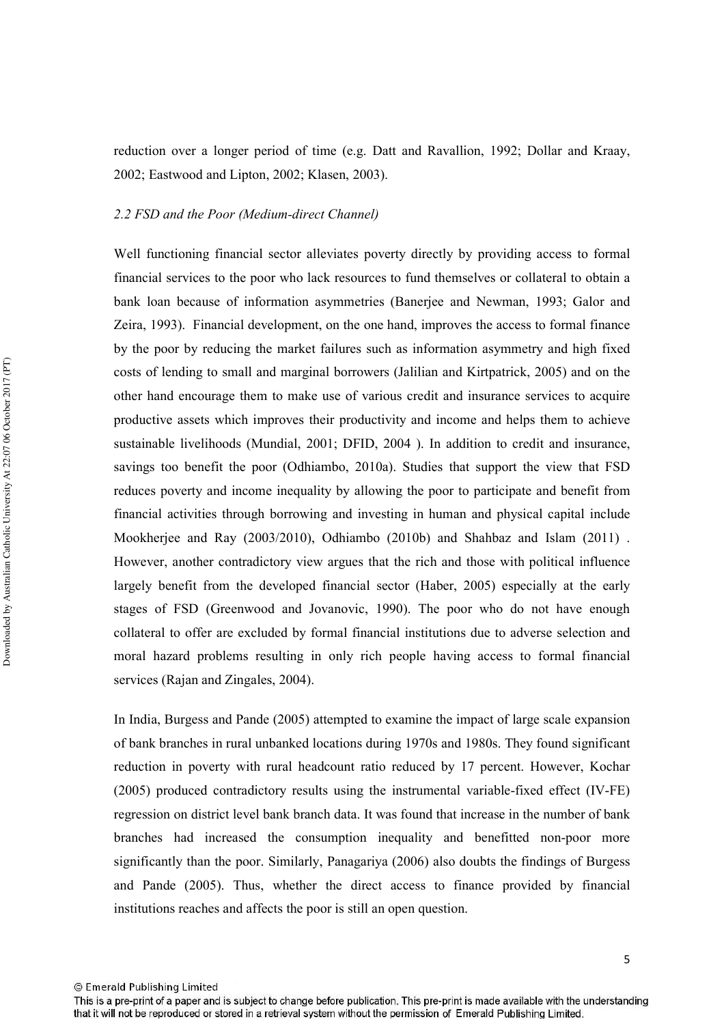reduction over a longer period of time (e.g. Datt and Ravallion, 1992; Dollar and Kraay, 2002; Eastwood and Lipton, 2002; Klasen, 2003).

#### 2.2 FSD and the Poor (Medium-direct Channel)

Well functioning financial sector alleviates poverty directly by providing access to formal financial services to the poor who lack resources to fund themselves or collateral to obtain a bank loan because of information asymmetries (Banerjee and Newman, 1993; Galor and Zeira, 1993). Financial development, on the one hand, improves the access to formal finance by the poor by reducing the market failures such as information asymmetry and high fixed costs of lending to small and marginal borrowers (Jalilian and Kirtpatrick, 2005) and on the other hand encourage them to make use of various credit and insurance services to acquire productive assets which improves their productivity and income and helps them to achieve sustainable livelihoods (Mundial, 2001; DFID, 2004). In addition to credit and insurance, savings too benefit the poor (Odhiambo, 2010a). Studies that support the view that FSD reduces poverty and income inequality by allowing the poor to participate and benefit from financial activities through borrowing and investing in human and physical capital include Mookherjee and Ray (2003/2010), Odhiambo (2010b) and Shahbaz and Islam (2011). However, another contradictory view argues that the rich and those with political influence largely benefit from the developed financial sector (Haber, 2005) especially at the early stages of FSD (Greenwood and Jovanovic, 1990). The poor who do not have enough collateral to offer are excluded by formal financial institutions due to adverse selection and moral hazard problems resulting in only rich people having access to formal financial services (Rajan and Zingales, 2004).

In India, Burgess and Pande (2005) attempted to examine the impact of large scale expansion of bank branches in rural unbanked locations during 1970s and 1980s. They found significant reduction in poverty with rural headcount ratio reduced by 17 percent. However, Kochar (2005) produced contradictory results using the instrumental variable-fixed effect (IV-FE) regression on district level bank branch data. It was found that increase in the number of bank branches had increased the consumption inequality and benefitted non-poor more significantly than the poor. Similarly, Panagariya (2006) also doubts the findings of Burgess and Pande (2005). Thus, whether the direct access to finance provided by financial institutions reaches and affects the poor is still an open question.

© Emerald Publishing Limited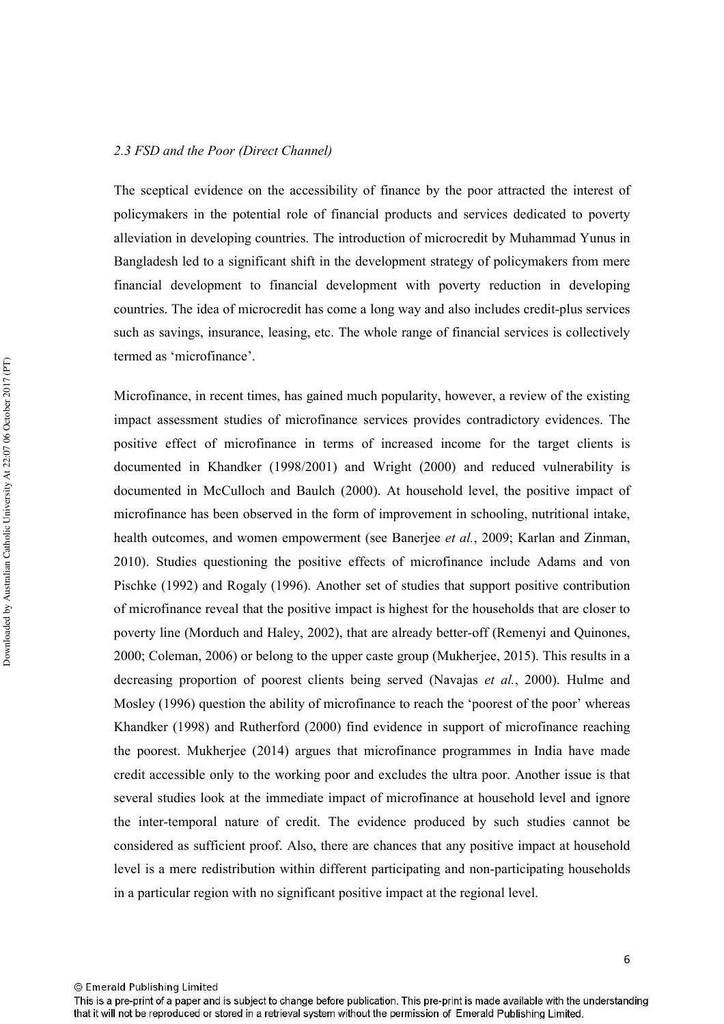#### 2.3 FSD and the Poor (Direct Channel)

The sceptical evidence on the accessibility of finance by the poor attracted the interest of policymakers in the potential role of financial products and services dedicated to poverty alleviation in developing countries. The introduction of microcredit by Muhammad Yunus in Bangladesh led to a significant shift in the development strategy of policymakers from mere financial development to financial development with poverty reduction in developing countries. The idea of microcredit has come a long way and also includes credit-plus services such as savings, insurance, leasing, etc. The whole range of financial services is collectively termed as 'microfinance'.

Microfinance, in recent times, has gained much popularity, however, a review of the existing impact assessment studies of microfinance services provides contradictory evidences. The positive effect of microfinance in terms of increased income for the target clients is documented in Khandker (1998/2001) and Wright (2000) and reduced vulnerability is documented in McCulloch and Baulch (2000). At household level, the positive impact of microfinance has been observed in the form of improvement in schooling, nutritional intake, health outcomes, and women empowerment (see Banerjee et al., 2009; Karlan and Zinman, 2010). Studies questioning the positive effects of microfinance include Adams and von Pischke (1992) and Rogaly (1996). Another set of studies that support positive contribution of microfinance reveal that the positive impact is highest for the households that are closer to poverty line (Morduch and Haley, 2002), that are already better-off (Remenyi and Quinones, 2000; Coleman, 2006) or belong to the upper caste group (Mukherjee, 2015). This results in a decreasing proportion of poorest clients being served (Navajas et al., 2000). Hulme and Mosley (1996) question the ability of microfinance to reach the 'poorest of the poor' whereas Khandker (1998) and Rutherford (2000) find evidence in support of microfinance reaching the poorest. Mukherjee (2014) argues that microfinance programmes in India have made credit accessible only to the working poor and excludes the ultra poor. Another issue is that several studies look at the immediate impact of microfinance at household level and ignore the inter-temporal nature of credit. The evidence produced by such studies cannot be considered as sufficient proof. Also, there are chances that any positive impact at household level is a mere redistribution within different participating and non-participating households in a particular region with no significant positive impact at the regional level.

<sup>6</sup>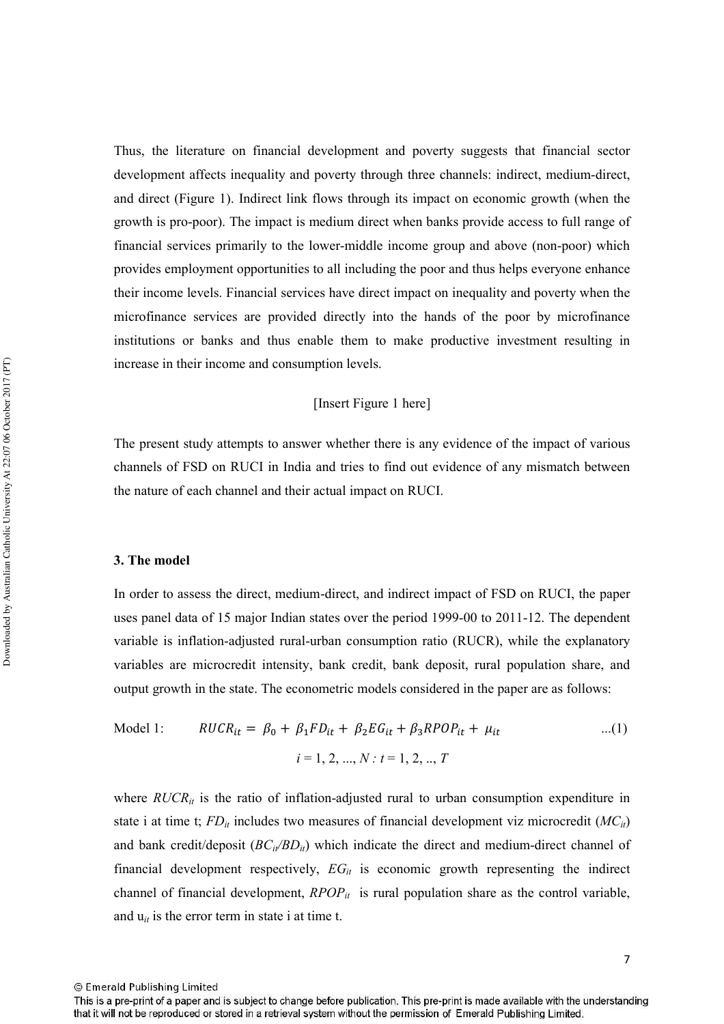Thus, the literature on financial development and poverty suggests that financial sector development affects inequality and poverty through three channels: indirect, medium-direct, and direct (Figure 1). Indirect link flows through its impact on economic growth (when the growth is pro-poor). The impact is medium direct when banks provide access to full range of financial services primarily to the lower-middle income group and above (non-poor) which provides employment opportunities to all including the poor and thus helps everyone enhance their income levels. Financial services have direct impact on inequality and poverty when the microfinance services are provided directly into the hands of the poor by microfinance institutions or banks and thus enable them to make productive investment resulting in increase in their income and consumption levels.

#### [Insert Figure 1 here]

The present study attempts to answer whether there is any evidence of the impact of various channels of FSD on RUCI in India and tries to find out evidence of any mismatch between the nature of each channel and their actual impact on RUCI.

#### 3. The model

In order to assess the direct, medium-direct, and indirect impact of FSD on RUCI, the paper uses panel data of 15 major Indian states over the period 1999-00 to 2011-12. The dependent variable is inflation-adjusted rural-urban consumption ratio (RUCR), while the explanatory variables are microcredit intensity, bank credit, bank deposit, rural population share, and output growth in the state. The econometric models considered in the paper are as follows:

Model 1: 
$$
RUCR_{it} = \beta_0 + \beta_1 FD_{it} + \beta_2 EG_{it} + \beta_3 RPOP_{it} + \mu_{it}
$$
 ...(1)  
 $i = 1, 2, ..., N : t = 1, 2, ..., T$ 

where  $RUCR_{it}$  is the ratio of inflation-adjusted rural to urban consumption expenditure in state i at time t;  $FD_{it}$  includes two measures of financial development viz microcredit ( $MC_{it}$ ) and bank credit/deposit  $(BC_{ii}/BD_{ii})$  which indicate the direct and medium-direct channel of financial development respectively,  $EG_{it}$  is economic growth representing the indirect channel of financial development,  $RPOP_{it}$  is rural population share as the control variable, and  $u_{it}$  is the error term in state i at time t.

This is a pre-print of a paper and is subject to change before publication. This pre-print is made available with the understanding that it will not be reproduced or stored in a retrieval system without the permission of Emerald Publishing Limited.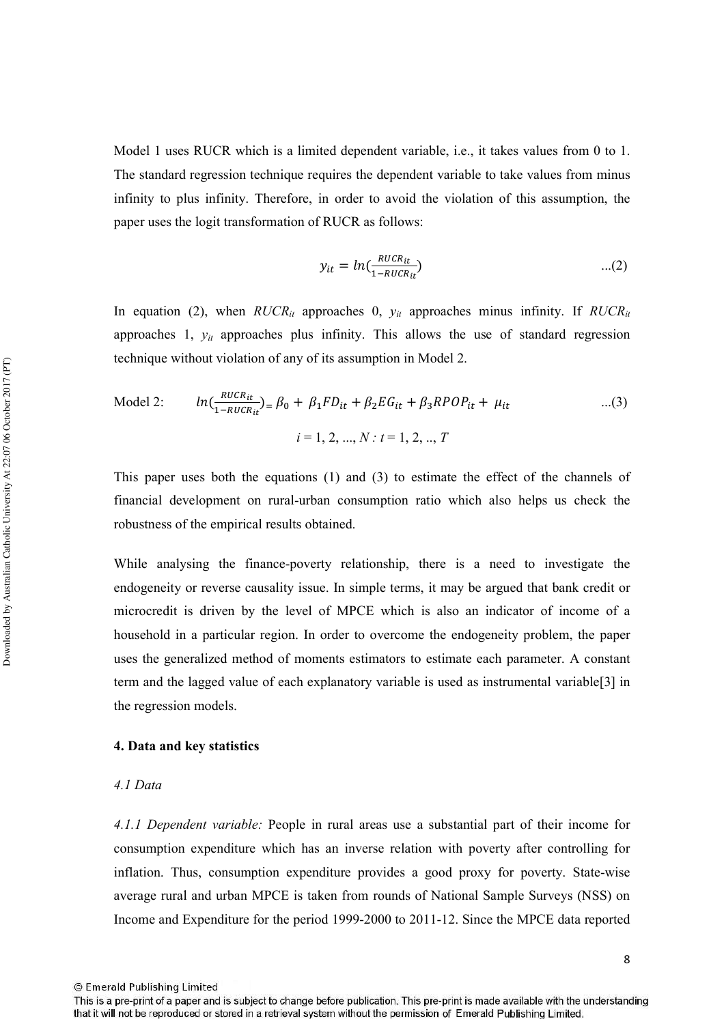Model 1 uses RUCR which is a limited dependent variable, i.e., it takes values from 0 to 1. The standard regression technique requires the dependent variable to take values from minus infinity to plus infinity. Therefore, in order to avoid the violation of this assumption, the paper uses the logit transformation of RUCR as follows:

$$
y_{it} = ln(\frac{RUCR_{it}}{1 - RUCR_{it}})
$$
...(2)

In equation (2), when  $RUCR_{it}$  approaches 0,  $y_{it}$  approaches minus infinity. If  $RUCR_{it}$ approaches 1,  $y_{it}$  approaches plus infinity. This allows the use of standard regression technique without violation of any of its assumption in Model 2.

Model 2: 
$$
ln(\frac{RUCR_{it}}{1-RUCR_{it}}) = \beta_0 + \beta_1 FD_{it} + \beta_2 EG_{it} + \beta_3 RPOP_{it} + \mu_{it}
$$
...(3)  
 $i = 1, 2, ..., N : t = 1, 2, ..., T$ 

This paper uses both the equations  $(1)$  and  $(3)$  to estimate the effect of the channels of financial development on rural-urban consumption ratio which also helps us check the robustness of the empirical results obtained.

While analysing the finance-poverty relationship, there is a need to investigate the endogeneity or reverse causality issue. In simple terms, it may be argued that bank credit or microcredit is driven by the level of MPCE which is also an indicator of income of a household in a particular region. In order to overcome the endogeneity problem, the paper uses the generalized method of moments estimators to estimate each parameter. A constant term and the lagged value of each explanatory variable is used as instrumental variable[3] in the regression models.

#### 4. Data and key statistics

#### 4.1 Data

4.1.1 Dependent variable: People in rural areas use a substantial part of their income for consumption expenditure which has an inverse relation with poverty after controlling for inflation. Thus, consumption expenditure provides a good proxy for poverty. State-wise average rural and urban MPCE is taken from rounds of National Sample Surveys (NSS) on Income and Expenditure for the period 1999-2000 to 2011-12. Since the MPCE data reported

This is a pre-print of a paper and is subject to change before publication. This pre-print is made available with the understanding that it will not be reproduced or stored in a retrieval system without the permission of Emerald Publishing Limited.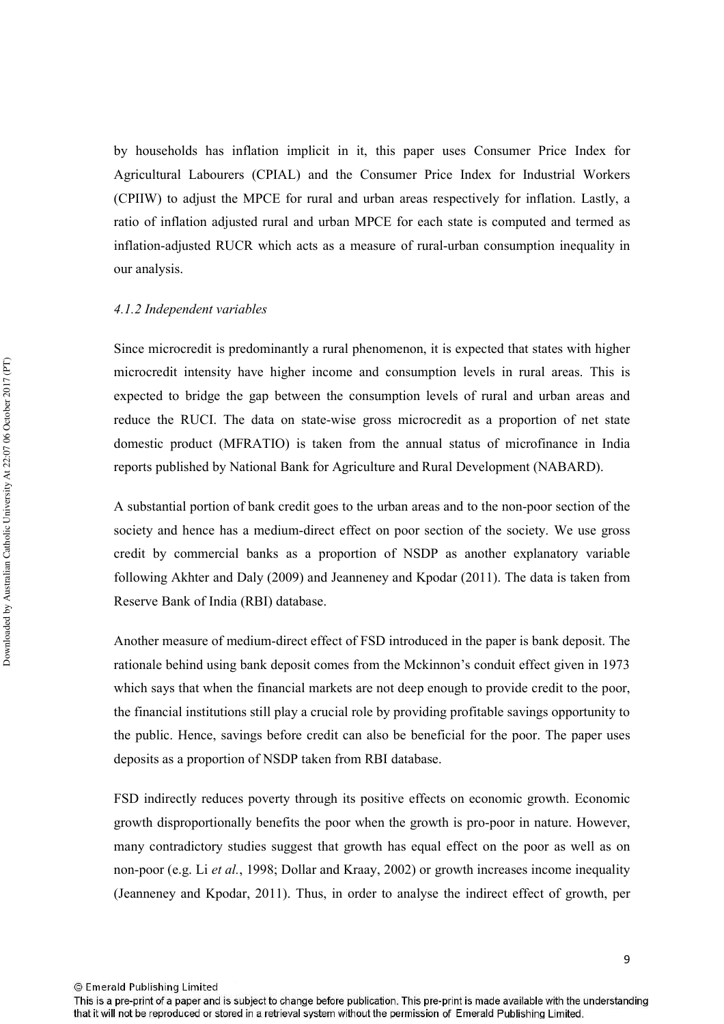by households has inflation implicit in it, this paper uses Consumer Price Index for Agricultural Labourers (CPIAL) and the Consumer Price Index for Industrial Workers (CPIIW) to adjust the MPCE for rural and urban areas respectively for inflation. Lastly, a ratio of inflation adjusted rural and urban MPCE for each state is computed and termed as inflation-adjusted RUCR which acts as a measure of rural-urban consumption inequality in our analysis.

#### 4.1.2 Independent variables

Since microcredit is predominantly a rural phenomenon, it is expected that states with higher microcredit intensity have higher income and consumption levels in rural areas. This is expected to bridge the gap between the consumption levels of rural and urban areas and reduce the RUCI. The data on state-wise gross microcredit as a proportion of net state domestic product (MFRATIO) is taken from the annual status of microfinance in India reports published by National Bank for Agriculture and Rural Development (NABARD).

A substantial portion of bank credit goes to the urban areas and to the non-poor section of the society and hence has a medium-direct effect on poor section of the society. We use gross credit by commercial banks as a proportion of NSDP as another explanatory variable following Akhter and Daly (2009) and Jeanneney and Kpodar (2011). The data is taken from Reserve Bank of India (RBI) database.

Another measure of medium-direct effect of FSD introduced in the paper is bank deposit. The rationale behind using bank deposit comes from the Mckinnon's conduit effect given in 1973 which says that when the financial markets are not deep enough to provide credit to the poor, the financial institutions still play a crucial role by providing profitable savings opportunity to the public. Hence, savings before credit can also be beneficial for the poor. The paper uses deposits as a proportion of NSDP taken from RBI database.

FSD indirectly reduces poverty through its positive effects on economic growth. Economic growth disproportionally benefits the poor when the growth is pro-poor in nature. However, many contradictory studies suggest that growth has equal effect on the poor as well as on non-poor (e.g. Li et al., 1998; Dollar and Kraay, 2002) or growth increases income inequality (Jeanneney and Kpodar, 2011). Thus, in order to analyse the indirect effect of growth, per

© Emerald Publishing Limited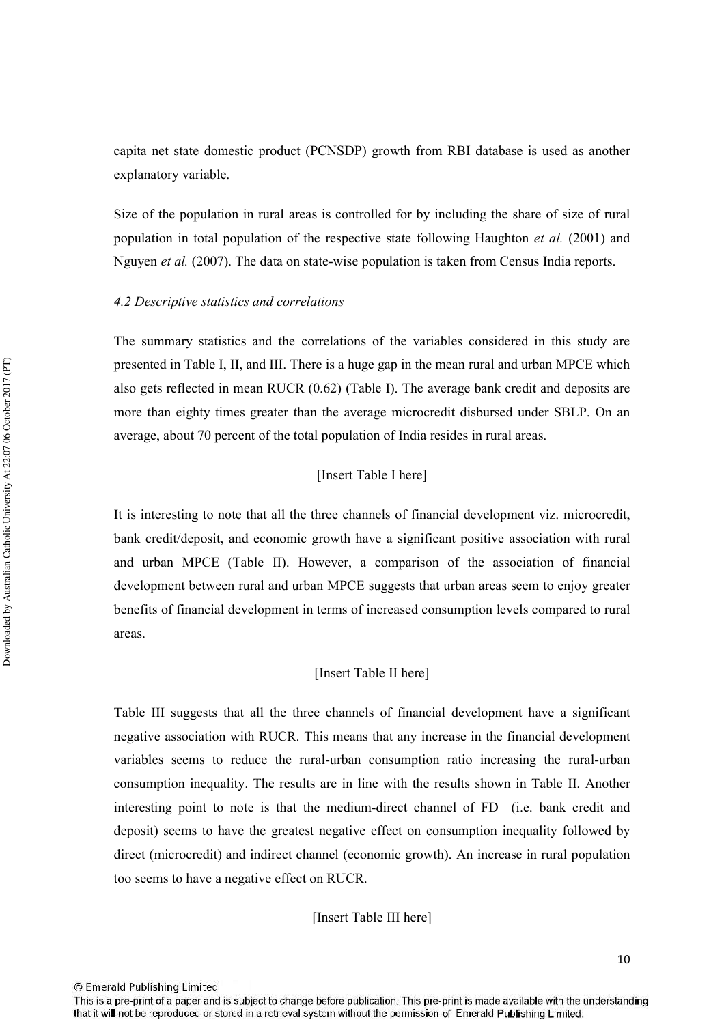capita net state domestic product (PCNSDP) growth from RBI database is used as another explanatory variable.

Size of the population in rural areas is controlled for by including the share of size of rural population in total population of the respective state following Haughton *et al.* (2001) and Nguyen *et al.* (2007). The data on state-wise population is taken from Census India reports.

#### 4.2 Descriptive statistics and correlations

The summary statistics and the correlations of the variables considered in this study are presented in Table I, II, and III. There is a huge gap in the mean rural and urban MPCE which also gets reflected in mean RUCR  $(0.62)$  (Table I). The average bank credit and deposits are more than eighty times greater than the average microcredit disbursed under SBLP. On an average, about 70 percent of the total population of India resides in rural areas.

## [Insert Table I here]

It is interesting to note that all the three channels of financial development viz. microcredit, bank credit/deposit, and economic growth have a significant positive association with rural and urban MPCE (Table II). However, a comparison of the association of financial development between rural and urban MPCE suggests that urban areas seem to enjoy greater benefits of financial development in terms of increased consumption levels compared to rural areas.

#### [Insert Table II here]

Table III suggests that all the three channels of financial development have a significant negative association with RUCR. This means that any increase in the financial development variables seems to reduce the rural-urban consumption ratio increasing the rural-urban consumption inequality. The results are in line with the results shown in Table II. Another interesting point to note is that the medium-direct channel of FD (i.e. bank credit and deposit) seems to have the greatest negative effect on consumption inequality followed by direct (microcredit) and indirect channel (economic growth). An increase in rural population too seems to have a negative effect on RUCR.

[Insert Table III here]

© Emerald Publishing Limited

10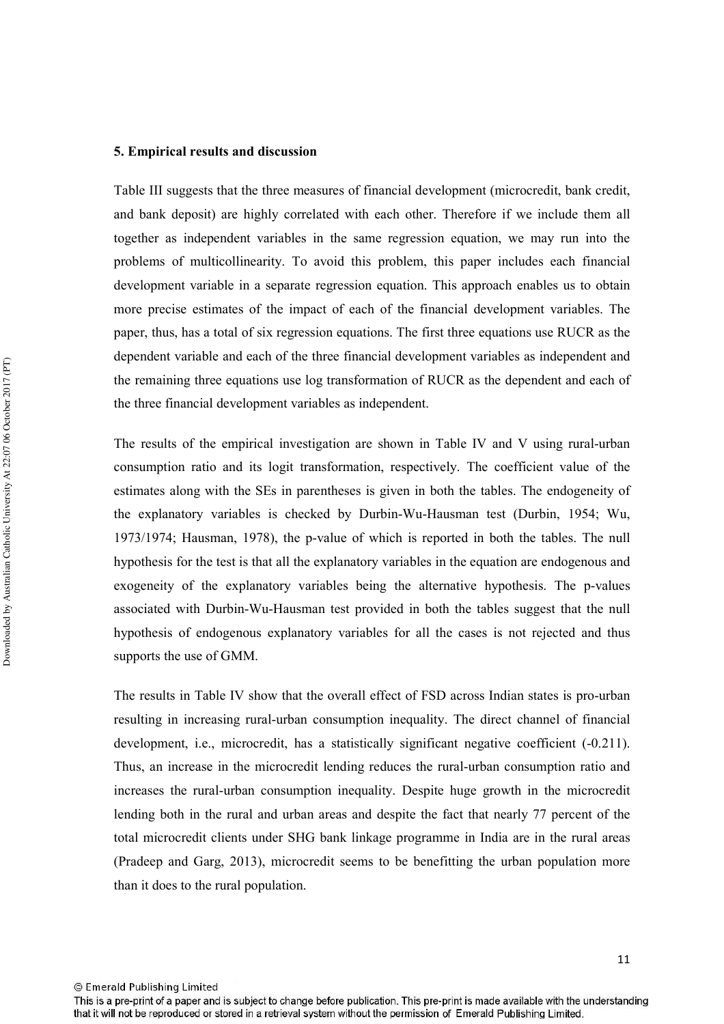#### 5. Empirical results and discussion

Table III suggests that the three measures of financial development (microcredit, bank credit, and bank deposit) are highly correlated with each other. Therefore if we include them all together as independent variables in the same regression equation, we may run into the problems of multicollinearity. To avoid this problem, this paper includes each financial development variable in a separate regression equation. This approach enables us to obtain more precise estimates of the impact of each of the financial development variables. The paper, thus, has a total of six regression equations. The first three equations use RUCR as the dependent variable and each of the three financial development variables as independent and the remaining three equations use log transformation of RUCR as the dependent and each of the three financial development variables as independent.

The results of the empirical investigation are shown in Table IV and V using rural-urban consumption ratio and its logit transformation, respectively. The coefficient value of the estimates along with the SEs in parentheses is given in both the tables. The endogeneity of the explanatory variables is checked by Durbin-Wu-Hausman test (Durbin, 1954; Wu, 1973/1974; Hausman, 1978), the p-value of which is reported in both the tables. The null hypothesis for the test is that all the explanatory variables in the equation are endogenous and exogeneity of the explanatory variables being the alternative hypothesis. The p-values associated with Durbin-Wu-Hausman test provided in both the tables suggest that the null hypothesis of endogenous explanatory variables for all the cases is not rejected and thus supports the use of GMM.

The results in Table IV show that the overall effect of FSD across Indian states is pro-urban resulting in increasing rural-urban consumption inequality. The direct channel of financial development, i.e., microcredit, has a statistically significant negative coefficient  $(-0.211)$ . Thus, an increase in the microcredit lending reduces the rural-urban consumption ratio and increases the rural-urban consumption inequality. Despite huge growth in the microcredit lending both in the rural and urban areas and despite the fact that nearly 77 percent of the total microcredit clients under SHG bank linkage programme in India are in the rural areas (Pradeep and Garg, 2013), microcredit seems to be benefitting the urban population more than it does to the rural population.

This is a pre-print of a paper and is subject to change before publication. This pre-print is made available with the understanding that it will not be reproduced or stored in a retrieval system without the permission of Emerald Publishing Limited.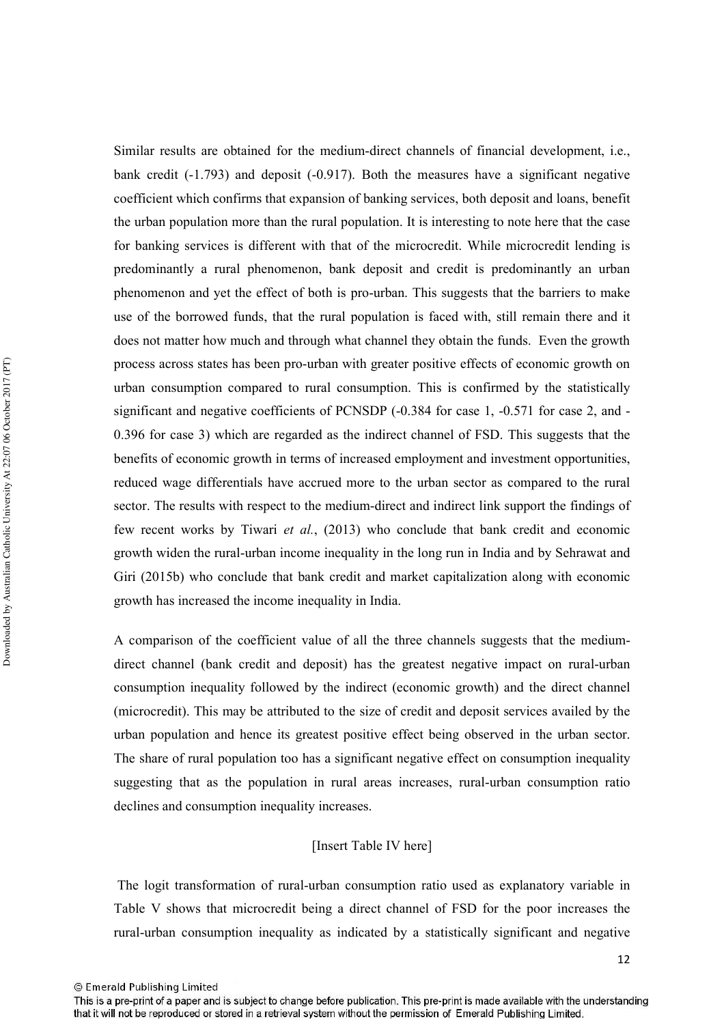Similar results are obtained for the medium-direct channels of financial development, i.e., bank credit  $(-1.793)$  and deposit  $(-0.917)$ . Both the measures have a significant negative coefficient which confirms that expansion of banking services, both deposit and loans, benefit the urban population more than the rural population. It is interesting to note here that the case for banking services is different with that of the microcredit. While microcredit lending is predominantly a rural phenomenon, bank deposit and credit is predominantly an urban phenomenon and yet the effect of both is pro-urban. This suggests that the barriers to make use of the borrowed funds, that the rural population is faced with, still remain there and it does not matter how much and through what channel they obtain the funds. Even the growth process across states has been pro-urban with greater positive effects of economic growth on urban consumption compared to rural consumption. This is confirmed by the statistically significant and negative coefficients of PCNSDP (-0.384 for case 1, -0.571 for case 2, and -0.396 for case 3) which are regarded as the indirect channel of FSD. This suggests that the benefits of economic growth in terms of increased employment and investment opportunities, reduced wage differentials have accrued more to the urban sector as compared to the rural sector. The results with respect to the medium-direct and indirect link support the findings of few recent works by Tiwari et al., (2013) who conclude that bank credit and economic growth widen the rural-urban income inequality in the long run in India and by Sehrawat and Giri (2015b) who conclude that bank credit and market capitalization along with economic growth has increased the income inequality in India.

A comparison of the coefficient value of all the three channels suggests that the mediumdirect channel (bank credit and deposit) has the greatest negative impact on rural-urban consumption inequality followed by the indirect (economic growth) and the direct channel (microcredit). This may be attributed to the size of credit and deposit services availed by the urban population and hence its greatest positive effect being observed in the urban sector. The share of rural population too has a significant negative effect on consumption inequality suggesting that as the population in rural areas increases, rural-urban consumption ratio declines and consumption inequality increases.

#### [Insert Table IV here]

The logit transformation of rural-urban consumption ratio used as explanatory variable in Table V shows that microcredit being a direct channel of FSD for the poor increases the rural-urban consumption inequality as indicated by a statistically significant and negative

This is a pre-print of a paper and is subject to change before publication. This pre-print is made available with the understanding that it will not be reproduced or stored in a retrieval system without the permission of Emerald Publishing Limited.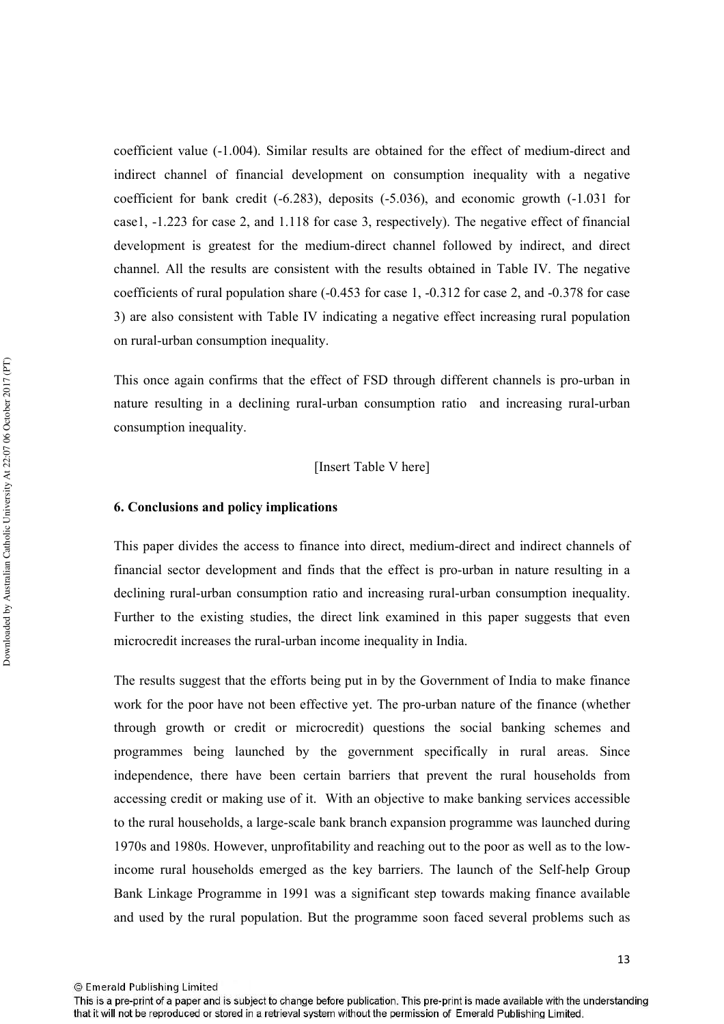coefficient value (-1.004). Similar results are obtained for the effect of medium-direct and indirect channel of financial development on consumption inequality with a negative coefficient for bank credit  $(-6.283)$ , deposits  $(-5.036)$ , and economic growth  $(-1.031)$  for case1, -1.223 for case 2, and 1.118 for case 3, respectively). The negative effect of financial development is greatest for the medium-direct channel followed by indirect, and direct channel. All the results are consistent with the results obtained in Table IV. The negative coefficients of rural population share (-0.453 for case 1, -0.312 for case 2, and -0.378 for case 3) are also consistent with Table IV indicating a negative effect increasing rural population on rural-urban consumption inequality.

This once again confirms that the effect of FSD through different channels is pro-urban in nature resulting in a declining rural-urban consumption ratio and increasing rural-urban consumption inequality.

[Insert Table V here]

#### 6. Conclusions and policy implications

This paper divides the access to finance into direct, medium-direct and indirect channels of financial sector development and finds that the effect is pro-urban in nature resulting in a declining rural-urban consumption ratio and increasing rural-urban consumption inequality. Further to the existing studies, the direct link examined in this paper suggests that even microcredit increases the rural-urban income inequality in India.

The results suggest that the efforts being put in by the Government of India to make finance work for the poor have not been effective yet. The pro-urban nature of the finance (whether through growth or credit or microcredit) questions the social banking schemes and programmes being launched by the government specifically in rural areas. Since independence, there have been certain barriers that prevent the rural households from accessing credit or making use of it. With an objective to make banking services accessible to the rural households, a large-scale bank branch expansion programme was launched during 1970s and 1980s. However, unprofitability and reaching out to the poor as well as to the lowincome rural households emerged as the key barriers. The launch of the Self-help Group Bank Linkage Programme in 1991 was a significant step towards making finance available and used by the rural population. But the programme soon faced several problems such as

This is a pre-print of a paper and is subject to change before publication. This pre-print is made available with the understanding that it will not be reproduced or stored in a retrieval system without the permission of Emerald Publishing Limited.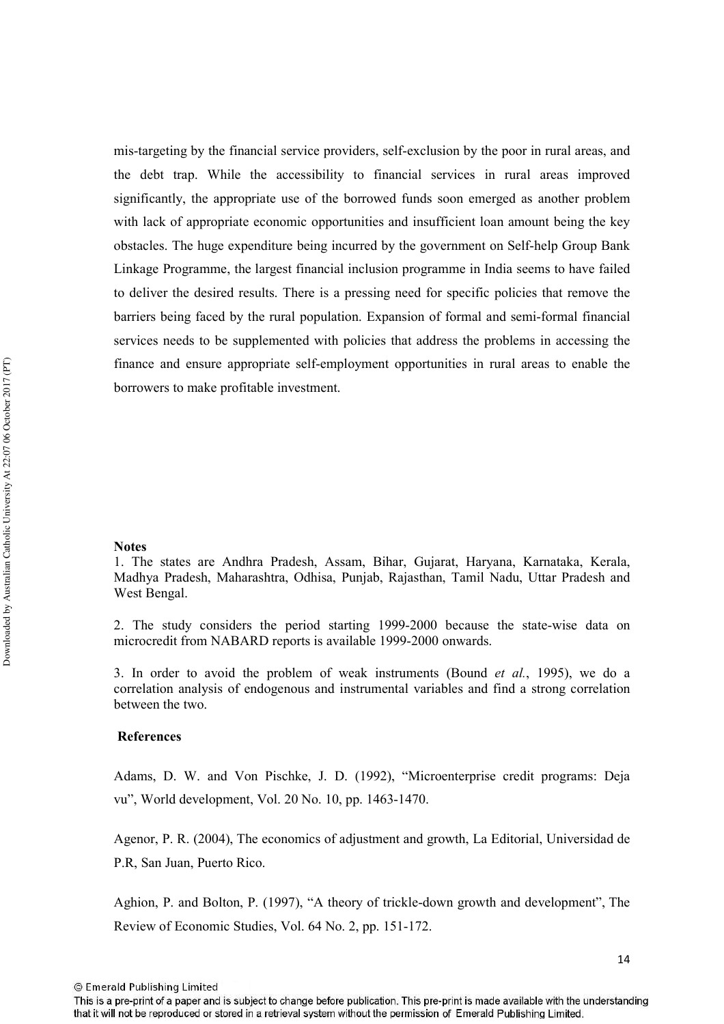mis-targeting by the financial service providers, self-exclusion by the poor in rural areas, and the debt trap. While the accessibility to financial services in rural areas improved significantly, the appropriate use of the borrowed funds soon emerged as another problem with lack of appropriate economic opportunities and insufficient loan amount being the key obstacles. The huge expenditure being incurred by the government on Self-help Group Bank Linkage Programme, the largest financial inclusion programme in India seems to have failed to deliver the desired results. There is a pressing need for specific policies that remove the barriers being faced by the rural population. Expansion of formal and semi-formal financial services needs to be supplemented with policies that address the problems in accessing the finance and ensure appropriate self-employment opportunities in rural areas to enable the borrowers to make profitable investment.

#### **Notes**

1. The states are Andhra Pradesh, Assam, Bihar, Gujarat, Haryana, Karnataka, Kerala, Madhya Pradesh, Maharashtra, Odhisa, Punjab, Rajasthan, Tamil Nadu, Uttar Pradesh and West Bengal.

2. The study considers the period starting 1999-2000 because the state-wise data on microcredit from NABARD reports is available 1999-2000 onwards.

3. In order to avoid the problem of weak instruments (Bound *et al.*, 1995), we do a correlation analysis of endogenous and instrumental variables and find a strong correlation between the two

#### **References**

Adams, D. W. and Von Pischke, J. D. (1992), "Microenterprise credit programs: Deja vu", World development, Vol. 20 No. 10, pp. 1463-1470.

Agenor, P. R. (2004), The economics of adjustment and growth, La Editorial, Universidad de P.R. San Juan, Puerto Rico.

Aghion, P. and Bolton, P. (1997), "A theory of trickle-down growth and development", The Review of Economic Studies, Vol. 64 No. 2, pp. 151-172.

© Emerald Publishing Limited

<sup>14</sup>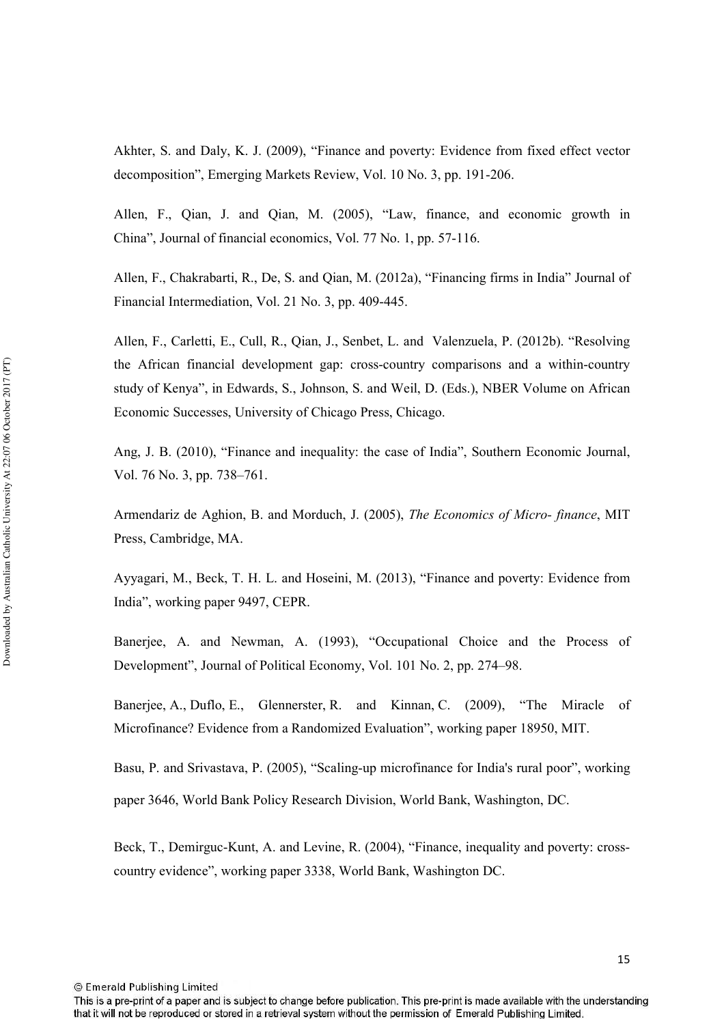Akhter, S. and Daly, K. J. (2009), "Finance and poverty: Evidence from fixed effect vector decomposition", Emerging Markets Review, Vol. 10 No. 3, pp. 191-206.

Allen, F., Qian, J. and Qian, M. (2005), "Law, finance, and economic growth in China", Journal of financial economics, Vol. 77 No. 1, pp. 57-116.

Allen, F., Chakrabarti, R., De, S. and Qian, M. (2012a), "Financing firms in India" Journal of Financial Intermediation, Vol. 21 No. 3, pp. 409-445.

Allen, F., Carletti, E., Cull, R., Oian, J., Senbet, L. and Valenzuela, P. (2012b). "Resolving the African financial development gap: cross-country comparisons and a within-country study of Kenya", in Edwards, S., Johnson, S. and Weil, D. (Eds.), NBER Volume on African Economic Successes, University of Chicago Press, Chicago.

Ang, J. B. (2010), "Finance and inequality: the case of India", Southern Economic Journal, Vol. 76 No. 3, pp. 738-761.

Armendariz de Aghion, B. and Morduch, J. (2005), The Economics of Micro-finance, MIT Press, Cambridge, MA.

Ayyagari, M., Beck, T. H. L. and Hoseini, M. (2013), "Finance and poverty: Evidence from India", working paper 9497, CEPR.

Banerjee, A. and Newman, A. (1993), "Occupational Choice and the Process of Development", Journal of Political Economy, Vol. 101 No. 2, pp. 274–98.

Baneriee, A., Duflo, E., Glennerster, R. and Kinnan, C. (2009), "The Miracle - of Microfinance? Evidence from a Randomized Evaluation", working paper 18950, MIT.

Basu, P. and Srivastava, P. (2005). "Scaling-up microfinance for India's rural poor", working paper 3646, World Bank Policy Research Division, World Bank, Washington, DC.

Beck, T., Demirguc-Kunt, A. and Levine, R. (2004), "Finance, inequality and poverty: crosscountry evidence", working paper 3338, World Bank, Washington DC.

© Emerald Publishing Limited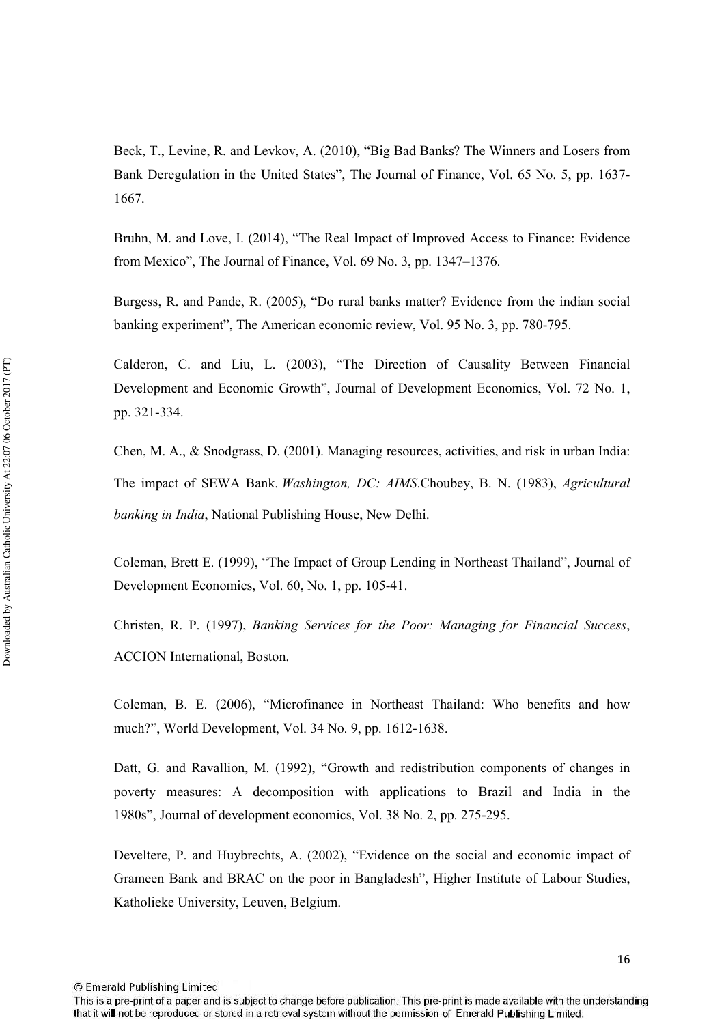Beck, T., Levine, R. and Levkov, A. (2010), "Big Bad Banks? The Winners and Losers from Bank Deregulation in the United States", The Journal of Finance, Vol. 65 No. 5, pp. 1637-1667

Bruhn, M. and Love, I. (2014), "The Real Impact of Improved Access to Finance: Evidence from Mexico", The Journal of Finance, Vol. 69 No. 3, pp.  $1347-1376$ .

Burgess, R. and Pande, R. (2005), "Do rural banks matter? Evidence from the indian social banking experiment", The American economic review, Vol. 95 No. 3, pp. 780-795.

Calderon, C. and Liu, L. (2003), "The Direction of Causality Between Financial Development and Economic Growth", Journal of Development Economics, Vol. 72 No. 1, pp. 321-334.

Chen, M. A.,  $\&$  Snodgrass, D. (2001). Managing resources, activities, and risk in urban India: The impact of SEWA Bank. *Washington, DC: AIMS*.Choubey, B. N. (1983), *Agricultural* banking in India, National Publishing House, New Delhi.

Coleman, Brett E. (1999), "The Impact of Group Lending in Northeast Thailand", Journal of Development Economics, Vol. 60, No. 1, pp. 105-41.

Christen, R. P. (1997), *Banking Services for the Poor: Managing for Financial Success*, ACCION International, Boston.

Coleman, B. E. (2006), "Microfinance in Northeast Thailand: Who benefits and how much?", World Development, Vol. 34 No. 9, pp. 1612-1638.

Datt, G. and Ravallion, M. (1992), "Growth and redistribution components of changes in poverty measures: A decomposition with applications to Brazil and India in the 1980s", Journal of development economics, Vol. 38 No. 2, pp. 275-295.

Develtere, P. and Huybrechts, A. (2002), "Evidence on the social and economic impact of Grameen Bank and BRAC on the poor in Bangladesh", Higher Institute of Labour Studies, Katholieke University, Leuven, Belgium.

© Emerald Publishing Limited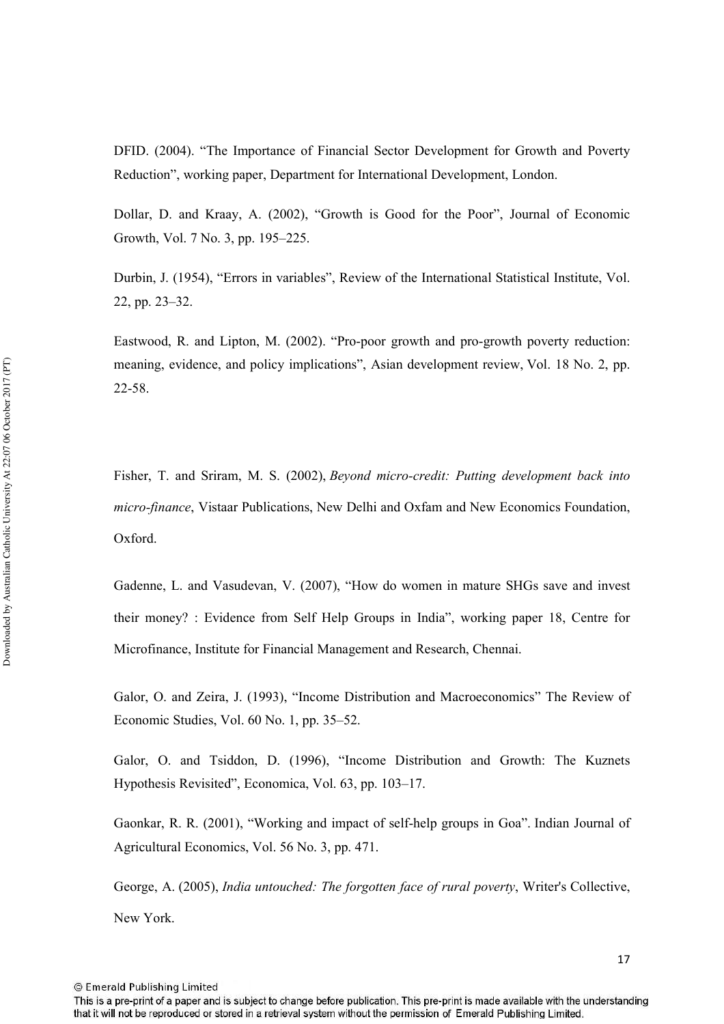DFID. (2004). "The Importance of Financial Sector Development for Growth and Poverty Reduction", working paper, Department for International Development, London.

Dollar, D. and Kraay, A. (2002), "Growth is Good for the Poor", Journal of Economic Growth, Vol. 7 No. 3, pp. 195–225.

Durbin, J. (1954), "Errors in variables", Review of the International Statistical Institute, Vol. 22, pp. 23-32.

Eastwood, R. and Lipton, M. (2002). "Pro-poor growth and pro-growth poverty reduction: meaning, evidence, and policy implications", Asian development review, Vol. 18 No. 2, pp. 22-58.

Fisher, T. and Sriram, M. S. (2002), Beyond micro-credit: Putting development back into *micro-finance*, Vistaar Publications, New Delhi and Oxfam and New Economics Foundation, Oxford.

Gadenne, L. and Vasudevan, V. (2007), "How do women in mature SHGs save and invest their money? : Evidence from Self Help Groups in India", working paper 18, Centre for Microfinance, Institute for Financial Management and Research, Chennai.

Galor, O. and Zeira, J. (1993), "Income Distribution and Macroeconomics" The Review of Economic Studies, Vol. 60 No. 1, pp. 35–52.

Galor, O. and Tsiddon, D. (1996), "Income Distribution and Growth: The Kuznets Hypothesis Revisited", Economica, Vol. 63, pp. 103–17.

Gaonkar, R. R. (2001), "Working and impact of self-help groups in Goa". Indian Journal of Agricultural Economics, Vol. 56 No. 3, pp. 471.

George, A. (2005). India untouched: The forgotten face of rural poverty. Writer's Collective. New York.

© Emerald Publishing Limited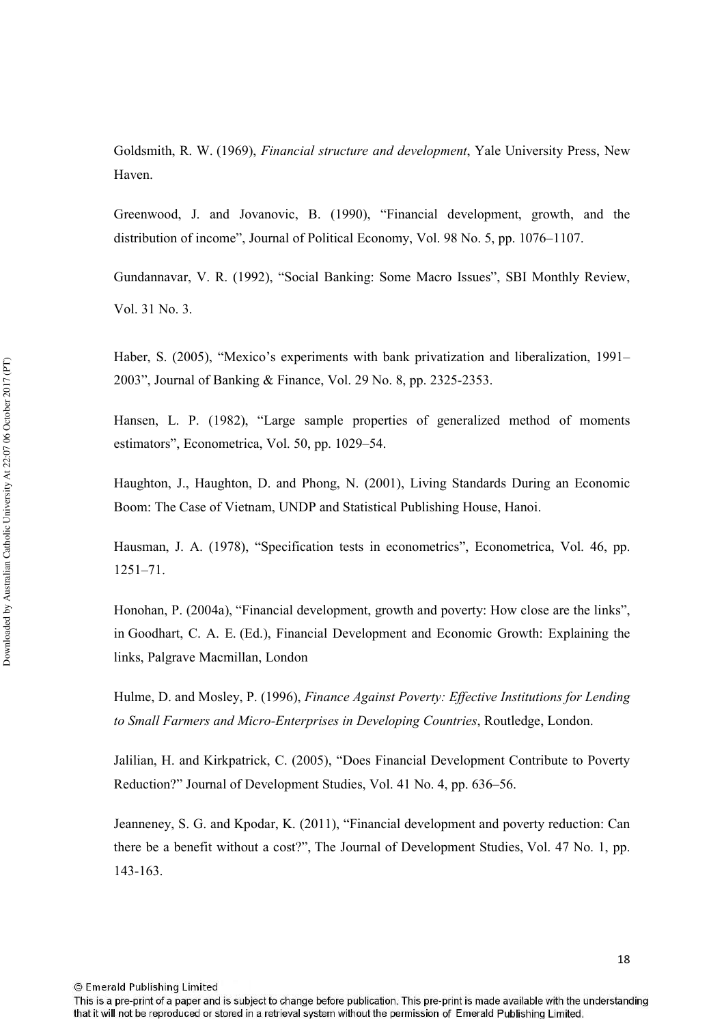Goldsmith, R. W. (1969), Financial structure and development, Yale University Press, New Haven.

Greenwood, J. and Jovanovic, B. (1990), "Financial development, growth, and the distribution of income", Journal of Political Economy, Vol. 98 No. 5, pp. 1076–1107.

Gundannavar, V. R. (1992), "Social Banking: Some Macro Issues", SBI Monthly Review, Vol. 31 No. 3.

Haber, S. (2005), "Mexico's experiments with bank privatization and liberalization, 1991– 2003", Journal of Banking & Finance, Vol. 29 No. 8, pp. 2325-2353.

Hansen, L. P. (1982), "Large sample properties of generalized method of moments estimators", Econometrica, Vol. 50, pp. 1029–54.

Haughton, J., Haughton, D. and Phong, N. (2001), Living Standards During an Economic Boom: The Case of Vietnam, UNDP and Statistical Publishing House, Hanoi.

Hausman, J. A. (1978), "Specification tests in econometrics", Econometrica, Vol. 46, pp.  $1251 - 71$ 

Honohan, P. (2004a), "Financial development, growth and poverty: How close are the links". in Goodhart, C. A. E. (Ed.), Financial Development and Economic Growth: Explaining the links, Palgrave Macmillan, London

Hulme, D. and Mosley, P. (1996), Finance Against Poverty: Effective Institutions for Lending to Small Farmers and Micro-Enterprises in Developing Countries, Routledge, London.

Jalilian, H. and Kirkpatrick, C. (2005), "Does Financial Development Contribute to Poverty Reduction?" Journal of Development Studies, Vol. 41 No. 4, pp. 636–56.

Jeanneney, S. G. and Kpodar, K. (2011), "Financial development and poverty reduction: Can there be a benefit without a cost?", The Journal of Development Studies, Vol. 47 No. 1, pp. 143-163.

© Emerald Publishing Limited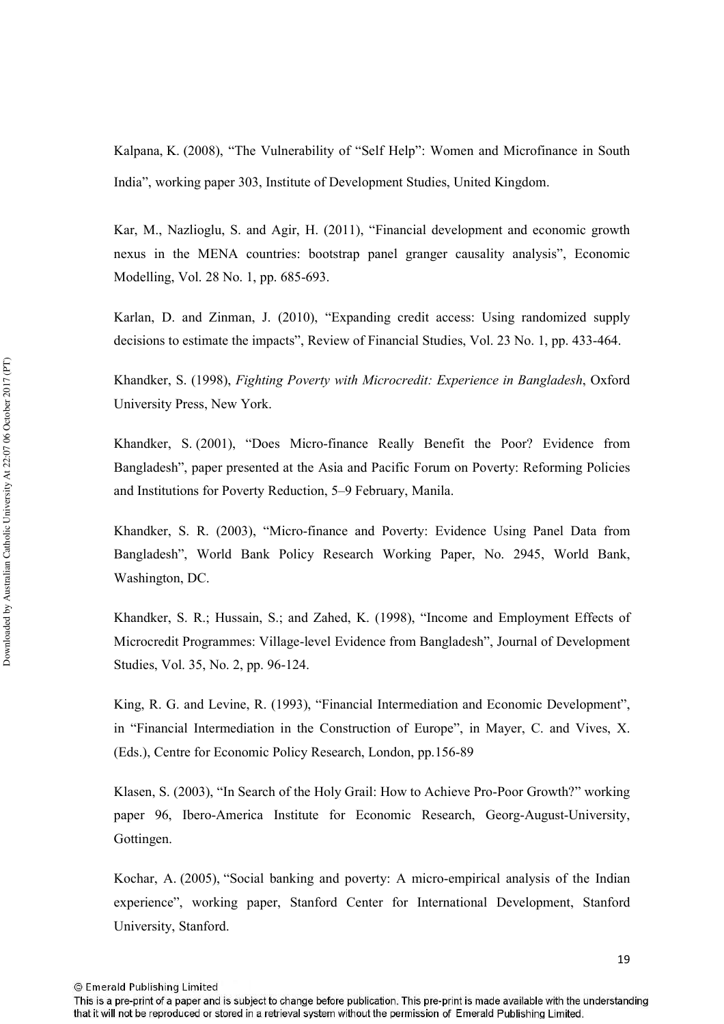Kalpana, K. (2008), "The Vulnerability of "Self Help": Women and Microfinance in South India", working paper 303, Institute of Development Studies, United Kingdom.

Kar, M., Nazlioglu, S. and Agir, H. (2011), "Financial development and economic growth nexus in the MENA countries: bootstrap panel granger causality analysis", Economic Modelling, Vol. 28 No. 1, pp. 685-693.

Karlan, D. and Zinman, J. (2010), "Expanding credit access: Using randomized supply decisions to estimate the impacts", Review of Financial Studies, Vol. 23 No. 1, pp. 433-464.

Khandker, S. (1998), Fighting Poverty with Microcredit: Experience in Bangladesh, Oxford University Press, New York.

Khandker, S. (2001), "Does Micro-finance Really Benefit the Poor? Evidence from Bangladesh", paper presented at the Asia and Pacific Forum on Poverty: Reforming Policies and Institutions for Poverty Reduction, 5–9 February, Manila.

Khandker, S. R. (2003), "Micro-finance and Poverty: Evidence Using Panel Data from Bangladesh", World Bank Policy Research Working Paper, No. 2945, World Bank, Washington, DC.

Khandker, S. R.; Hussain, S.; and Zahed, K. (1998), "Income and Employment Effects of Microcredit Programmes: Village-level Evidence from Bangladesh", Journal of Development Studies, Vol. 35, No. 2, pp. 96-124.

King, R. G. and Levine, R. (1993), "Financial Intermediation and Economic Development". in "Financial Intermediation in the Construction of Europe", in Mayer, C. and Vives, X. (Eds.), Centre for Economic Policy Research, London, pp.156-89

Klasen, S. (2003), "In Search of the Holy Grail: How to Achieve Pro-Poor Growth?" working paper 96, Ibero-America Institute for Economic Research, Georg-August-University, Gottingen.

Kochar, A. (2005), "Social banking and poverty: A micro-empirical analysis of the Indian experience", working paper, Stanford Center for International Development, Stanford University, Stanford.

This is a pre-print of a paper and is subject to change before publication. This pre-print is made available with the understanding that it will not be reproduced or stored in a retrieval system without the permission of Emerald Publishing Limited.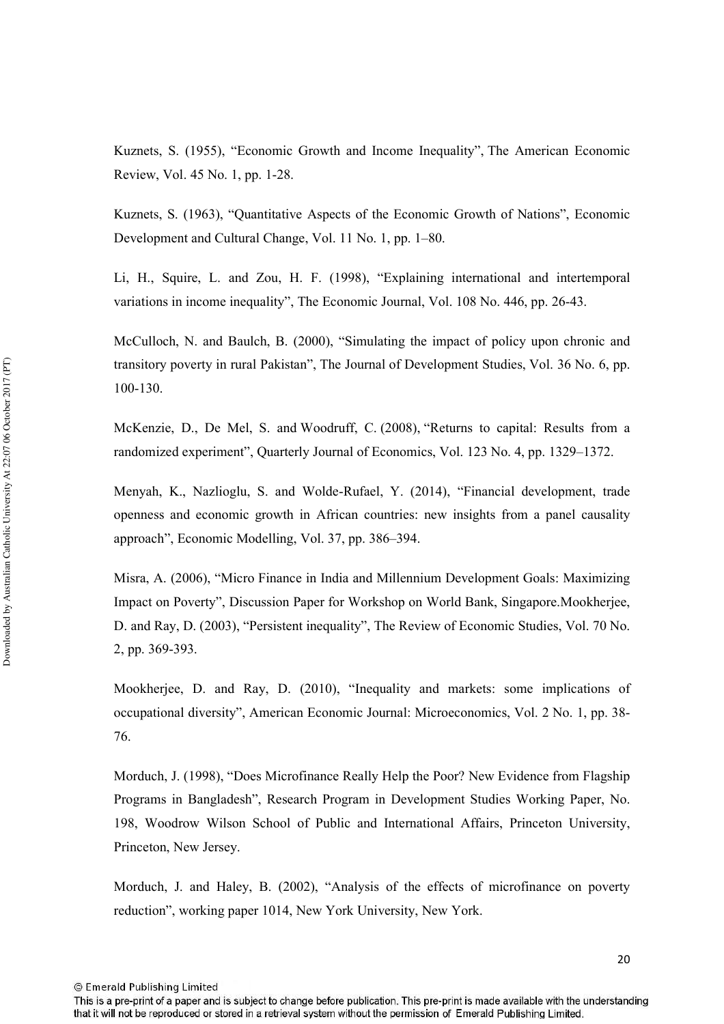Kuznets, S. (1955), "Economic Growth and Income Inequality", The American Economic Review, Vol. 45 No. 1, pp. 1-28.

Kuznets, S. (1963), "Quantitative Aspects of the Economic Growth of Nations", Economic Development and Cultural Change, Vol. 11 No. 1, pp. 1–80.

Li, H., Squire, L. and Zou, H. F. (1998), "Explaining international and intertemporal variations in income inequality", The Economic Journal, Vol. 108 No. 446, pp. 26-43.

McCulloch, N. and Baulch, B. (2000). "Simulating the impact of policy upon chronic and transitory poverty in rural Pakistan", The Journal of Development Studies, Vol. 36 No. 6, pp. 100-130.

McKenzie, D., De Mel, S. and Woodruff, C. (2008), "Returns to capital: Results from a randomized experiment", Quarterly Journal of Economics, Vol. 123 No. 4, pp. 1329–1372.

Menyah, K., Nazlioglu, S. and Wolde-Rufael, Y. (2014), "Financial development, trade openness and economic growth in African countries: new insights from a panel causality approach", Economic Modelling, Vol. 37, pp. 386–394.

Misra, A. (2006), "Micro Finance in India and Millennium Development Goals: Maximizing Impact on Poverty", Discussion Paper for Workshop on World Bank, Singapore. Mookherjee, D. and Ray, D. (2003), "Persistent inequality", The Review of Economic Studies, Vol. 70 No. 2, pp. 369-393.

Mookheriee, D. and Ray, D. (2010). "Inequality and markets: some implications of occupational diversity". American Economic Journal: Microeconomics, Vol. 2 No. 1, pp. 38-76.

Morduch, J. (1998), "Does Microfinance Really Help the Poor? New Evidence from Flagship Programs in Bangladesh", Research Program in Development Studies Working Paper, No. 198, Woodrow Wilson School of Public and International Affairs, Princeton University, Princeton, New Jersey.

Morduch, J. and Haley, B. (2002), "Analysis of the effects of microfinance on poverty reduction", working paper 1014, New York University, New York.

© Emerald Publishing Limited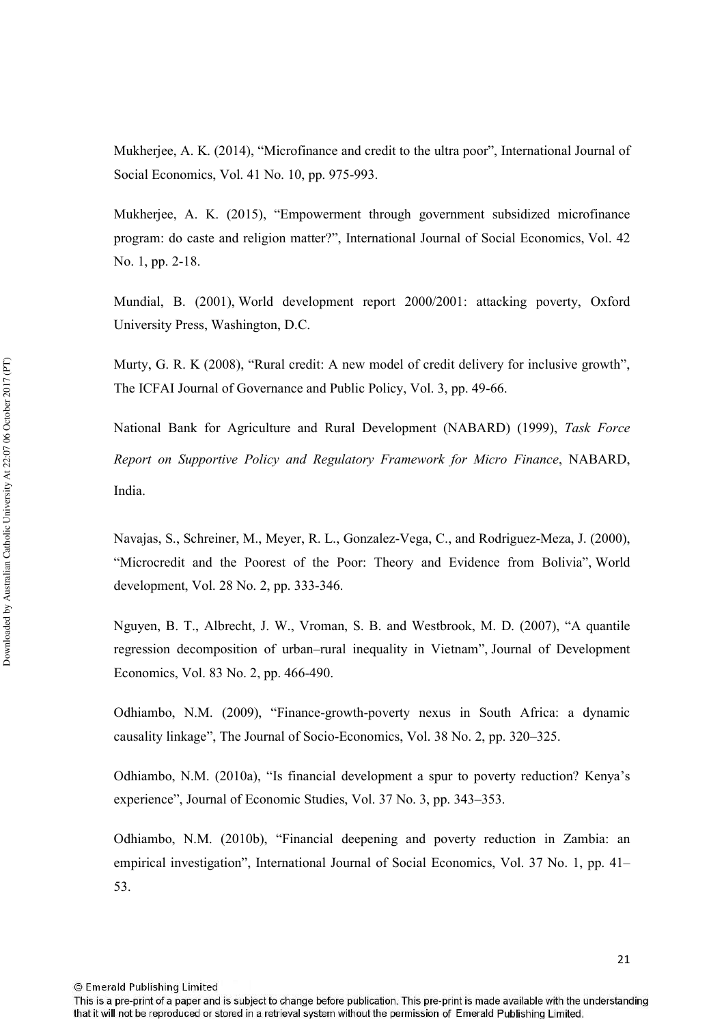Mukherjee, A. K. (2014), "Microfinance and credit to the ultra poor", International Journal of Social Economics, Vol. 41 No. 10, pp. 975-993.

Mukherjee, A. K. (2015), "Empowerment through government subsidized microfinance program: do caste and religion matter?", International Journal of Social Economics, Vol. 42 No. 1, pp. 2-18.

Mundial, B. (2001), World development report 2000/2001: attacking poverty, Oxford University Press, Washington, D.C.

Murty, G. R. K (2008), "Rural credit: A new model of credit delivery for inclusive growth", The ICFAI Journal of Governance and Public Policy, Vol. 3, pp. 49-66.

National Bank for Agriculture and Rural Development (NABARD) (1999), Task Force Report on Supportive Policy and Regulatory Framework for Micro Finance, NABARD, India.

Navajas, S., Schreiner, M., Meyer, R. L., Gonzalez-Vega, C., and Rodriguez-Meza, J. (2000), "Microcredit and the Poorest of the Poor: Theory and Evidence from Bolivia", World development, Vol. 28 No. 2, pp. 333-346.

Nguyen, B. T., Albrecht, J. W., Vroman, S. B. and Westbrook, M. D. (2007), "A quantile regression decomposition of urban–rural inequality in Vietnam", Journal of Development Economics, Vol. 83 No. 2, pp. 466-490.

Odhiambo, N.M. (2009). "Finance-growth-poverty nexus in South Africa: a dynamic causality linkage", The Journal of Socio-Economics, Vol. 38 No. 2, pp. 320–325.

Odhiambo, N.M. (2010a), "Is financial development a spur to poverty reduction? Kenya's experience", Journal of Economic Studies, Vol. 37 No. 3, pp. 343–353.

Odhiambo, N.M. (2010b), "Financial deepening and poverty reduction in Zambia: an empirical investigation", International Journal of Social Economics, Vol. 37 No. 1, pp. 41– 53.

This is a pre-print of a paper and is subject to change before publication. This pre-print is made available with the understanding that it will not be reproduced or stored in a retrieval system without the permission of Emerald Publishing Limited.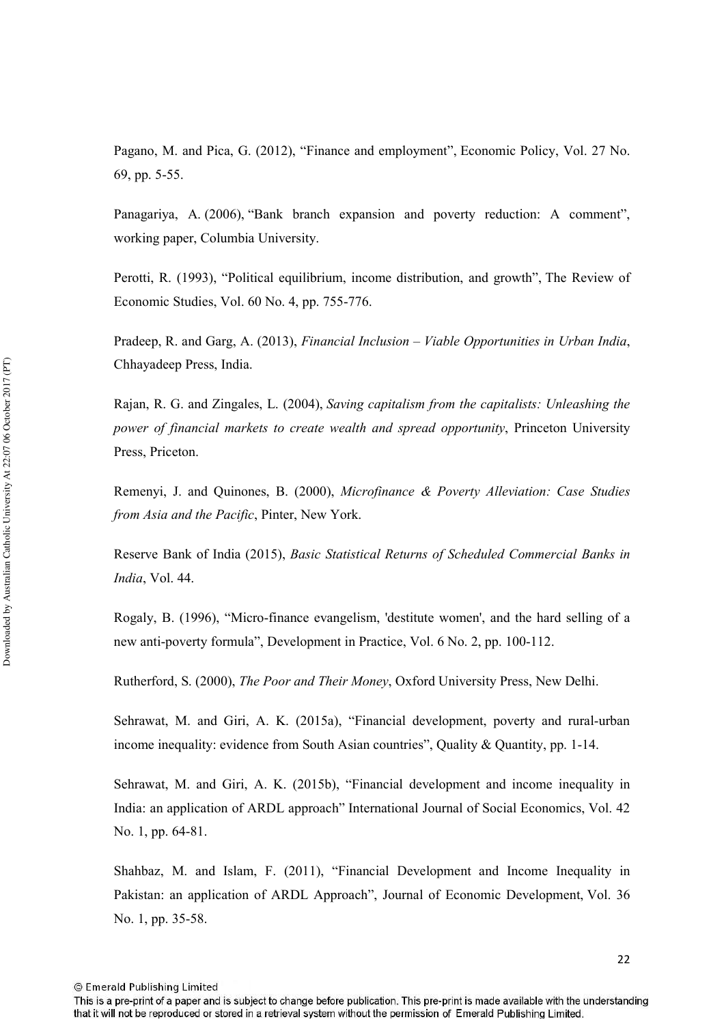Pagano, M. and Pica, G. (2012), "Finance and employment", Economic Policy, Vol. 27 No. 69, pp. 5-55.

Panagariya, A. (2006), "Bank branch expansion and poverty reduction: A comment". working paper, Columbia University.

Perotti, R. (1993), "Political equilibrium, income distribution, and growth", The Review of Economic Studies, Vol. 60 No. 4, pp. 755-776.

Pradeep, R. and Garg, A. (2013), Financial Inclusion – Viable Opportunities in Urban India. Chhayadeep Press, India.

Rajan, R. G. and Zingales, L. (2004), Saving capitalism from the capitalists: Unleashing the power of financial markets to create wealth and spread opportunity, Princeton University Press. Priceton.

Remenyi, J. and Quinones, B. (2000), Microfinance & Poverty Alleviation: Case Studies from Asia and the Pacific, Pinter, New York.

Reserve Bank of India (2015), Basic Statistical Returns of Scheduled Commercial Banks in India, Vol. 44.

Rogaly, B. (1996), "Micro-finance evangelism, 'destitute women', and the hard selling of a new anti-poverty formula", Development in Practice, Vol. 6 No. 2, pp. 100-112.

Rutherford, S. (2000), The Poor and Their Money, Oxford University Press, New Delhi.

Sehrawat, M. and Giri, A. K. (2015a), "Financial development, poverty and rural-urban income inequality: evidence from South Asian countries", Quality & Quantity, pp.  $1-14$ .

Sehrawat, M. and Giri, A. K. (2015b), "Financial development and income inequality in India: an application of ARDL approach" International Journal of Social Economics, Vol. 42 No. 1, pp. 64-81.

Shahbaz, M. and Islam, F. (2011), "Financial Development and Income Inequality in Pakistan: an application of ARDL Approach", Journal of Economic Development, Vol. 36 No. 1, pp. 35-58.

This is a pre-print of a paper and is subject to change before publication. This pre-print is made available with the understanding that it will not be reproduced or stored in a retrieval system without the permission of Emerald Publishing Limited.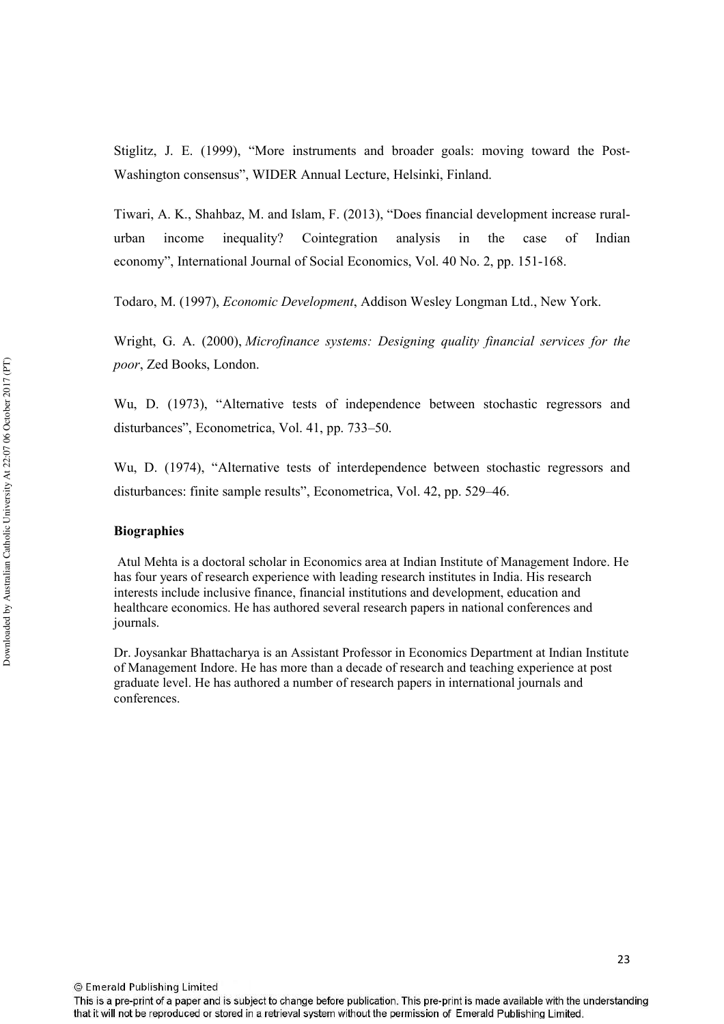Stiglitz, J. E. (1999), "More instruments and broader goals: moving toward the Post-Washington consensus", WIDER Annual Lecture, Helsinki, Finland.

Tiwari, A. K., Shahbaz, M. and Islam, F. (2013), "Does financial development increase ruralinequality? the of Indian urban income Cointegration analysis  $in$ case economy", International Journal of Social Economics, Vol. 40 No. 2, pp. 151-168.

Todaro, M. (1997), *Economic Development*, Addison Wesley Longman Ltd., New York.

Wright, G. A. (2000), Microfinance systems: Designing quality financial services for the poor, Zed Books, London.

Wu, D. (1973), "Alternative tests of independence between stochastic regressors and disturbances", Econometrica, Vol. 41, pp. 733–50.

Wu, D. (1974), "Alternative tests of interdependence between stochastic regressors and disturbances: finite sample results", Econometrica, Vol. 42, pp. 529–46.

#### **Biographies**

Atul Mehta is a doctoral scholar in Economics area at Indian Institute of Management Indore. He has four years of research experience with leading research institutes in India. His research interests include inclusive finance, financial institutions and development, education and healthcare economics. He has authored several research papers in national conferences and journals.

Dr. Joysankar Bhattacharya is an Assistant Professor in Economics Department at Indian Institute of Management Indore. He has more than a decade of research and teaching experience at post graduate level. He has authored a number of research papers in international journals and conferences

© Emerald Publishing Limited

23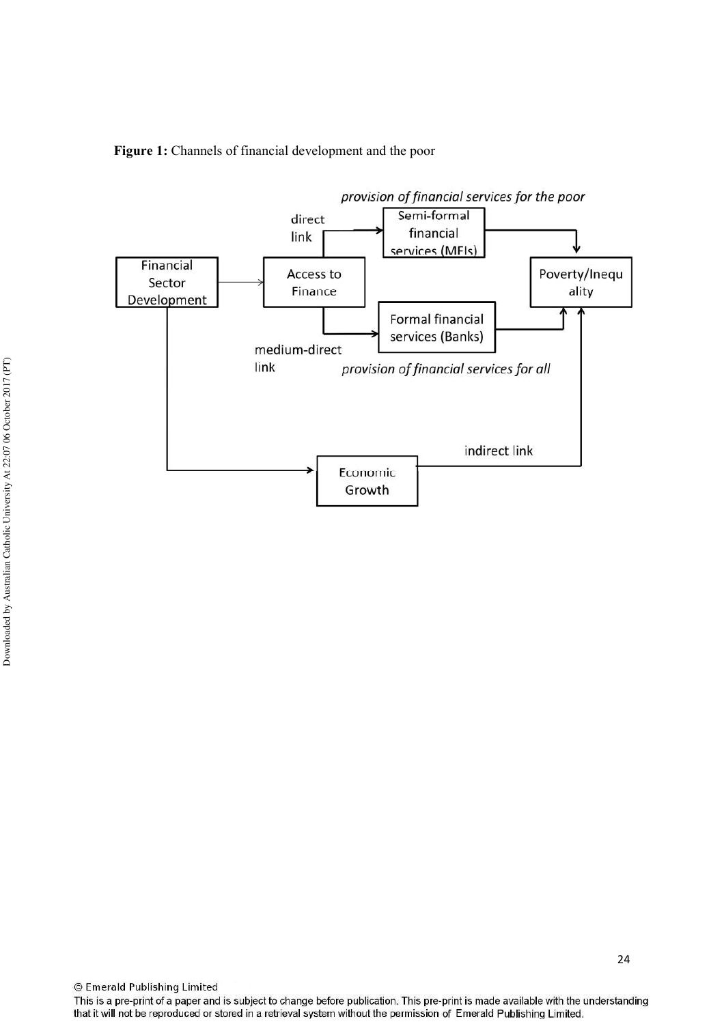

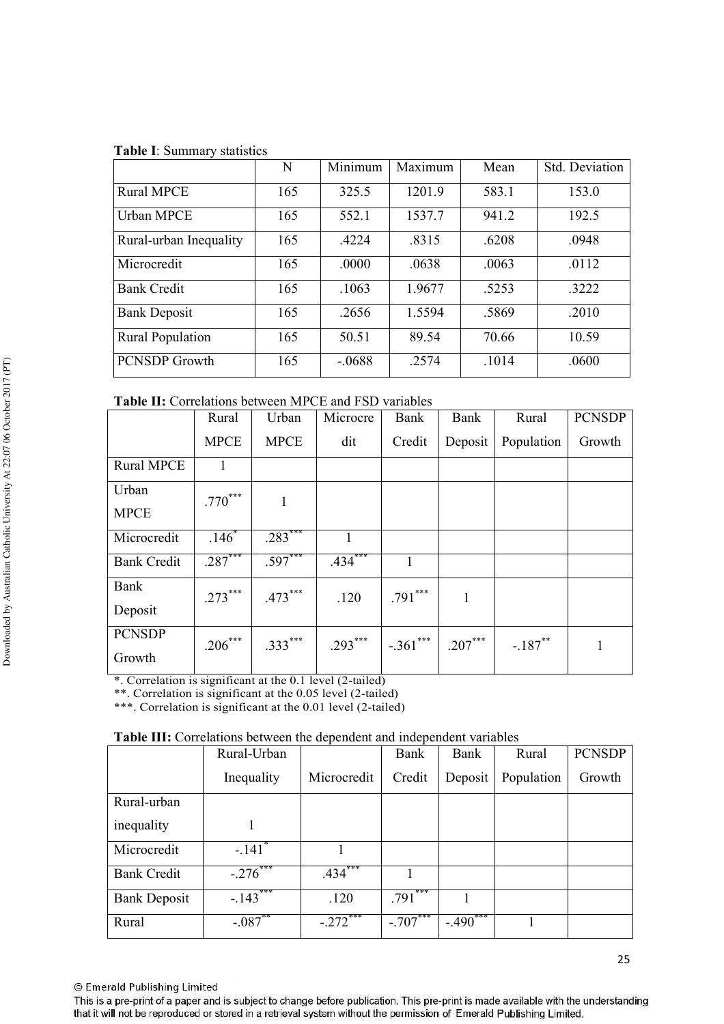## Table I: Summary statistics

|                         | N   | Minimum  | Maximum | Mean  | Std. Deviation |
|-------------------------|-----|----------|---------|-------|----------------|
| <b>Rural MPCE</b>       | 165 | 325.5    | 1201.9  | 583.1 | 153.0          |
| <b>Urban MPCE</b>       | 165 | 552.1    | 1537.7  | 941.2 | 192.5          |
| Rural-urban Inequality  | 165 | 4224     | .8315   | .6208 | .0948          |
| Microcredit             | 165 | .0000    | .0638   | .0063 | .0112          |
| <b>Bank Credit</b>      | 165 | .1063    | 1.9677  | .5253 | .3222          |
| <b>Bank Deposit</b>     | 165 | .2656    | 1.5594  | .5869 | .2010          |
| <b>Rural Population</b> | 165 | 50.51    | 89.54   | 70.66 | 10.59          |
| <b>PCNSDP</b> Growth    | 165 | $-.0688$ | .2574   | .1014 | .0600          |

## Table II: Correlations between MPCE and FSD variables

|                         | Rural       | Urban       | Microcre  | Bank        | Bank      | Rural                 | <b>PCNSDP</b> |
|-------------------------|-------------|-------------|-----------|-------------|-----------|-----------------------|---------------|
|                         | <b>MPCE</b> | <b>MPCE</b> | dit       | Credit      | Deposit   | Population            | Growth        |
| <b>Rural MPCE</b>       | 1           |             |           |             |           |                       |               |
| Urban<br><b>MPCE</b>    | $.770***$   |             |           |             |           |                       |               |
| Microcredit             | $.146*$     | $.283***$   |           |             |           |                       |               |
| <b>Bank Credit</b>      | $.287***$   | $.597***$   | $.434***$ |             |           |                       |               |
| Bank<br>Deposit         | $.273***$   | $.473***$   | .120      | $.791***$   |           |                       |               |
| <b>PCNSDP</b><br>Growth | $.206***$   | $.333***$   | $.293***$ | $-.361$ *** | $.207***$ | $-.187$ <sup>**</sup> |               |

\*. Correlation is significant at the 0.1 level (2-tailed)

\*\*. Correlation is significant at the 0.05 level (2-tailed)

\*\*\*. Correlation is significant at the 0.01 level (2-tailed)

#### Table III: Correlations between the dependent and independent variables

|                     | Rural-Urban           |             | Bank      | Bank                        | Rural      | <b>PCNSDP</b> |
|---------------------|-----------------------|-------------|-----------|-----------------------------|------------|---------------|
|                     | Inequality            | Microcredit | Credit    | Deposit                     | Population | Growth        |
| Rural-urban         |                       |             |           |                             |            |               |
| inequality          |                       |             |           |                             |            |               |
| Microcredit         | $-.141$ <sup>*</sup>  |             |           |                             |            |               |
| <b>Bank Credit</b>  | $-.276$ ***           | $.434***$   |           |                             |            |               |
| <b>Bank Deposit</b> | $-143***$             | .120        | $.791***$ |                             |            |               |
| Rural               | $-.087$ <sup>**</sup> | $-.272***$  | $-707***$ | ***<br>$-.490$ <sup>*</sup> |            |               |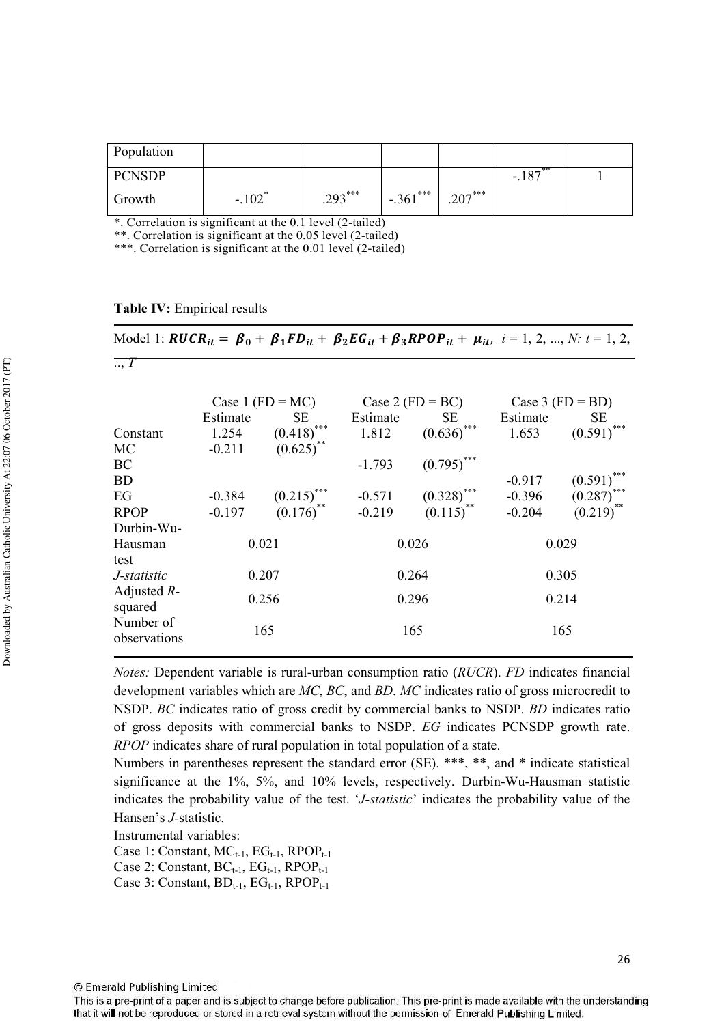| Population    |                      |           |            |                  |                 |  |
|---------------|----------------------|-----------|------------|------------------|-----------------|--|
| <b>PCNSDP</b> |                      |           |            |                  | $10-8$<br>$-10$ |  |
| Growth        | $-.102$ <sup>*</sup> | $.293***$ | $-.361***$ | $207***$<br>.∠∪. |                 |  |

Model 1:  $RUCR_{it} = \beta_0 + \beta_1 FD_{it} + \beta_2 EG_{it} + \beta_3 RPOP_{it} + \mu_{it}$ ,  $i = 1, 2, ..., N$ :  $t = 1, 2,$ 

\*. Correlation is significant at the 0.1 level (2-tailed)

\*\*. Correlation is significant at the 0.05 level (2-tailed)

\*\*\*. Correlation is significant at the 0.01 level (2-tailed)

#### Table IV: Empirical results

| $\ldots$ , 1         |                     |                        |          |                               |                    |                |
|----------------------|---------------------|------------------------|----------|-------------------------------|--------------------|----------------|
|                      | Case 1 (FD = $MC$ ) |                        |          | Case 2 (FD = BC)              | Case $3$ (FD = BD) |                |
|                      | Estimate            | <b>SE</b>              | Estimate | <b>SE</b>                     | Estimate           | SЕ             |
| Constant             | 1.254               | $(0.418)$ ***          | 1.812    | ***<br>$(0.636)$ <sup>*</sup> | 1.653              | $(0.591)$ ***  |
| <b>MC</b>            | $-0.211$            | $(0.625)$ <sup>*</sup> |          |                               |                    |                |
| BC                   |                     |                        | $-1.793$ | (0.795)                       |                    |                |
| <b>BD</b>            |                     |                        |          |                               | $-0.917$           | ***<br>(0.591) |
| EG                   | $-0.384$            | (0.215)                | $-0.571$ | ***<br>(0.328)                | $-0.396$           | ***<br>(0.287) |
| <b>RPOP</b>          | $-0.197$            | (0.176)                | $-0.219$ | (0.115)                       | $-0.204$           | (0.219)        |
| Durbin-Wu-           |                     |                        |          |                               |                    |                |
| Hausman              | 0.021               |                        | 0.026    |                               |                    | 0.029          |
| test                 |                     |                        |          |                               |                    |                |
| J-statistic          | 0.207               |                        | 0.264    |                               | 0.305              |                |
| Adjusted $R$ -       |                     | 0.256                  |          | 0.296                         |                    | 0.214          |
| squared<br>Number of |                     |                        |          |                               |                    |                |
| observations         |                     | 165                    |          | 165                           |                    | 165            |
|                      |                     |                        |          |                               |                    |                |

*Notes:* Dependent variable is rural-urban consumption ratio (RUCR). FD indicates financial development variables which are MC, BC, and BD. MC indicates ratio of gross microcredit to NSDP. BC indicates ratio of gross credit by commercial banks to NSDP. BD indicates ratio of gross deposits with commercial banks to NSDP. EG indicates PCNSDP growth rate. *RPOP* indicates share of rural population in total population of a state.

Numbers in parentheses represent the standard error (SE). \*\*\*, \*\*, and \* indicate statistical significance at the 1%, 5%, and 10% levels, respectively. Durbin-Wu-Hausman statistic indicates the probability value of the test. 'J-statistic' indicates the probability value of the Hansen's J-statistic.

Instrumental variables:

Case 1: Constant,  $MC_{t-1}$ , EG<sub>t-1</sub>, RPOP<sub>t-1</sub>

Case 2: Constant,  $BC_{t-1}$ ,  $EG_{t-1}$ ,  $RPOP_{t-1}$ 

Case 3: Constant,  $BD_{t-1}$ ,  $EG_{t-1}$ ,  $RPOP_{t-1}$ 

This is a pre-print of a paper and is subject to change before publication. This pre-print is made available with the understanding that it will not be reproduced or stored in a retrieval system without the permission of Emerald Publishing Limited.